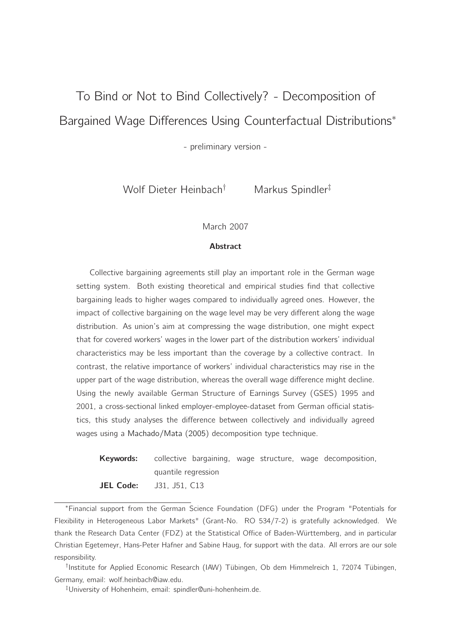# To Bind or Not to Bind Collectively? - Decomposition of Bargained Wage Differences Using Counterfactual Distributions<sup>∗</sup>

- preliminary version -

Wolf Dieter Heinbach<sup>†</sup> Markus Spindler<sup>‡</sup>

March 2007

#### **Abstract**

Collective bargaining agreements still play an important role in the German wage setting system. Both existing theoretical and empirical studies find that collective bargaining leads to higher wages compared to individually agreed ones. However, the impact of collective bargaining on the wage level may be very different along the wage distribution. As union's aim at compressing the wage distribution, one might expect that for covered workers' wages in the lower part of the distribution workers' individual characteristics may be less important than the coverage by a collective contract. In contrast, the relative importance of workers' individual characteristics may rise in the upper part of the wage distribution, whereas the overall wage difference might decline. Using the newly available German Structure of Earnings Survey (GSES) 1995 and 2001, a cross-sectional linked employer-employee-dataset from German official statistics, this study analyses the difference between collectively and individually agreed wages using a [Machado/Mata](#page-19-0) [\(2005\)](#page-19-0) decomposition type technique.

Keywords: collective bargaining, wage structure, wage decomposition, quantile regression JEL Code: **J31, J51, C13** 

<sup>∗</sup>Financial support from the German Science Foundation (DFG) under the Program "Potentials for Flexibility in Heterogeneous Labor Markets" (Grant-No. RO 534/7-2) is gratefully acknowledged. We thank the Research Data Center (FDZ) at the Statistical Office of Baden-Württemberg, and in particular Christian Egetemeyr, Hans-Peter Hafner and Sabine Haug, for support with the data. All errors are our sole responsibility.

<sup>†</sup> Institute for Applied Economic Research (IAW) Tübingen, Ob dem Himmelreich 1, 72074 Tübingen, Germany, email: wolf.heinbach@iaw.edu.

<sup>‡</sup>University of Hohenheim, email: spindler@uni-hohenheim.de.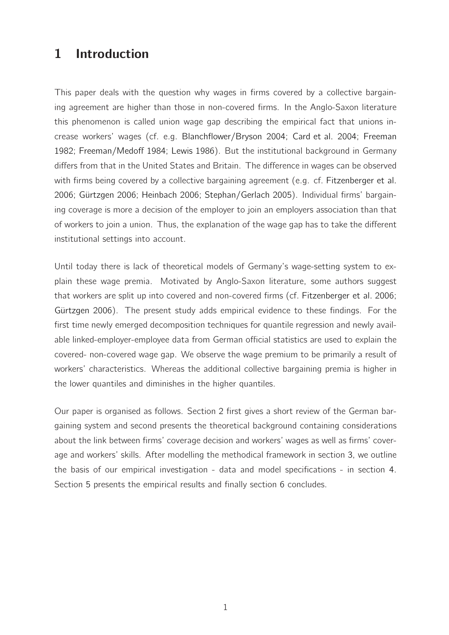# 1 Introduction

This paper deals with the question why wages in firms covered by a collective bargaining agreement are higher than those in non-covered firms. In the Anglo-Saxon literature this phenomenon is called union wage gap describing the empirical fact that unions increase workers' wages (cf. e.g. [Blanchflower/Bryson 2004](#page-18-0); [Card et al. 2004](#page-18-1); [Freeman](#page-18-2) [1982](#page-18-2); [Freeman/Medoff 1984;](#page-18-3) [Lewis 1986](#page-19-1)). But the institutional background in Germany differs from that in the United States and Britain. The difference in wages can be observed with firms being covered by a collective bargaining agreement (e.g. cf. [Fitzenberger et al.](#page-18-4) [2006](#page-18-4); [Gürtzgen 2006](#page-18-5); [Heinbach 2006;](#page-19-2) [Stephan/Gerlach 2005\)](#page-19-3). Individual firms' bargaining coverage is more a decision of the employer to join an employers association than that of workers to join a union. Thus, the explanation of the wage gap has to take the different institutional settings into account.

Until today there is lack of theoretical models of Germany's wage-setting system to explain these wage premia. Motivated by Anglo-Saxon literature, some authors suggest that workers are split up into covered and non-covered firms (cf. [Fitzenberger et al. 2006](#page-18-4); [Gürtzgen 2006\)](#page-18-5). The present study adds empirical evidence to these findings. For the first time newly emerged decomposition techniques for quantile regression and newly available linked-employer-employee data from German official statistics are used to explain the covered- non-covered wage gap. We observe the wage premium to be primarily a result of workers' characteristics. Whereas the additional collective bargaining premia is higher in the lower quantiles and diminishes in the higher quantiles.

Our paper is organised as follows. Section [2](#page-2-0) first gives a short review of the German bargaining system and second presents the theoretical background containing considerations about the link between firms' coverage decision and workers' wages as well as firms' coverage and workers' skills. After modelling the methodical framework in section [3,](#page-6-0) we outline the basis of our empirical investigation - data and model specifications - in section [4.](#page-10-0) Section [5](#page-12-0) presents the empirical results and finally section [6](#page-16-0) concludes.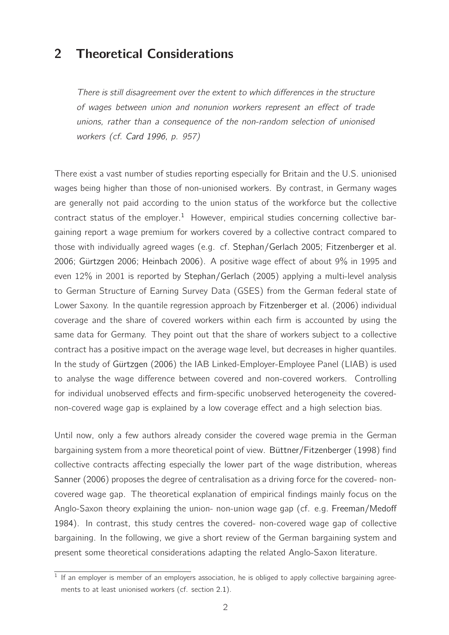# <span id="page-2-0"></span>2 Theoretical Considerations

There is still disagreement over the extent to which differences in the structure of wages between union and nonunion workers represent an effect of trade unions, rather than a consequence of the non-random selection of unionised workers (cf. [Card 1996,](#page-18-6) p. 957)

There exist a vast number of studies reporting especially for Britain and the U.S. unionised wages being higher than those of non-unionised workers. By contrast, in Germany wages are generally not paid according to the union status of the workforce but the collective contract status of the employer.<sup>[1](#page-2-1)</sup> However, empirical studies concerning collective bargaining report a wage premium for workers covered by a collective contract compared to those with individually agreed wages (e.g. cf. [Stephan/Gerlach 2005](#page-19-3); [Fitzenberger et al.](#page-18-4) [2006](#page-18-4); [Gürtzgen 2006;](#page-18-5) [Heinbach 2006](#page-19-2)). A positive wage effect of about 9% in 1995 and even 12% in 2001 is reported by [Stephan/Gerlach](#page-19-3) [\(2005\)](#page-19-3) applying a multi-level analysis to German Structure of Earning Survey Data (GSES) from the German federal state of Lower Saxony. In the quantile regression approach by [Fitzenberger et al.](#page-18-4) [\(2006](#page-18-4)) individual coverage and the share of covered workers within each firm is accounted by using the same data for Germany. They point out that the share of workers subject to a collective contract has a positive impact on the average wage level, but decreases in higher quantiles. In the study of [Gürtzgen](#page-18-5) [\(2006](#page-18-5)) the IAB Linked-Employer-Employee Panel (LIAB) is used to analyse the wage difference between covered and non-covered workers. Controlling for individual unobserved effects and firm-specific unobserved heterogeneity the coverednon-covered wage gap is explained by a low coverage effect and a high selection bias.

Until now, only a few authors already consider the covered wage premia in the German bargaining system from a more theoretical point of view. [Büttner/Fitzenberger](#page-18-7) [\(1998\)](#page-18-7) find collective contracts affecting especially the lower part of the wage distribution, whereas [Sanner](#page-19-4) [\(2006\)](#page-19-4) proposes the degree of centralisation as a driving force for the covered- noncovered wage gap. The theoretical explanation of empirical findings mainly focus on the Anglo-Saxon theory explaining the union- non-union wage gap (cf. e.g. [Freeman/Medoff](#page-18-3) [1984](#page-18-3)). In contrast, this study centres the covered- non-covered wage gap of collective bargaining. In the following, we give a short review of the German bargaining system and present some theoretical considerations adapting the related Anglo-Saxon literature.

<span id="page-2-1"></span> $1$  If an employer is member of an employers association, he is obliged to apply collective bargaining agreements to at least unionised workers (cf. section [2.1\)](#page-3-0).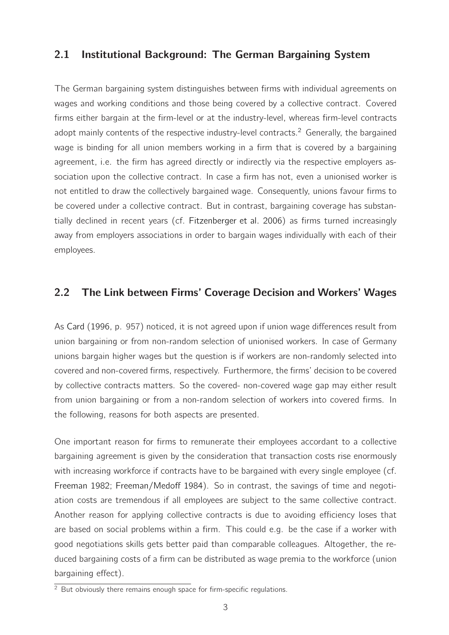### <span id="page-3-0"></span>2.1 Institutional Background: The German Bargaining System

The German bargaining system distinguishes between firms with individual agreements on wages and working conditions and those being covered by a collective contract. Covered firms either bargain at the firm-level or at the industry-level, whereas firm-level contracts adopt mainly contents of the respective industry-level contracts.<sup>[2](#page-3-1)</sup> Generally, the bargained wage is binding for all union members working in a firm that is covered by a bargaining agreement, i.e. the firm has agreed directly or indirectly via the respective employers association upon the collective contract. In case a firm has not, even a unionised worker is not entitled to draw the collectively bargained wage. Consequently, unions favour firms to be covered under a collective contract. But in contrast, bargaining coverage has substantially declined in recent years (cf. [Fitzenberger et al. 2006\)](#page-18-4) as firms turned increasingly away from employers associations in order to bargain wages individually with each of their employees.

### 2.2 The Link between Firms' Coverage Decision and Workers' Wages

As [Card](#page-18-6) [\(1996](#page-18-6), p. 957) noticed, it is not agreed upon if union wage differences result from union bargaining or from non-random selection of unionised workers. In case of Germany unions bargain higher wages but the question is if workers are non-randomly selected into covered and non-covered firms, respectively. Furthermore, the firms' decision to be covered by collective contracts matters. So the covered- non-covered wage gap may either result from union bargaining or from a non-random selection of workers into covered firms. In the following, reasons for both aspects are presented.

One important reason for firms to remunerate their employees accordant to a collective bargaining agreement is given by the consideration that transaction costs rise enormously with increasing workforce if contracts have to be bargained with every single employee (cf. [Freeman 1982](#page-18-2); [Freeman/Medoff 1984\)](#page-18-3). So in contrast, the savings of time and negotiation costs are tremendous if all employees are subject to the same collective contract. Another reason for applying collective contracts is due to avoiding efficiency loses that are based on social problems within a firm. This could e.g. be the case if a worker with good negotiations skills gets better paid than comparable colleagues. Altogether, the reduced bargaining costs of a firm can be distributed as wage premia to the workforce (union bargaining effect).

<span id="page-3-1"></span> $\overline{2}$  But obviously there remains enough space for firm-specific regulations.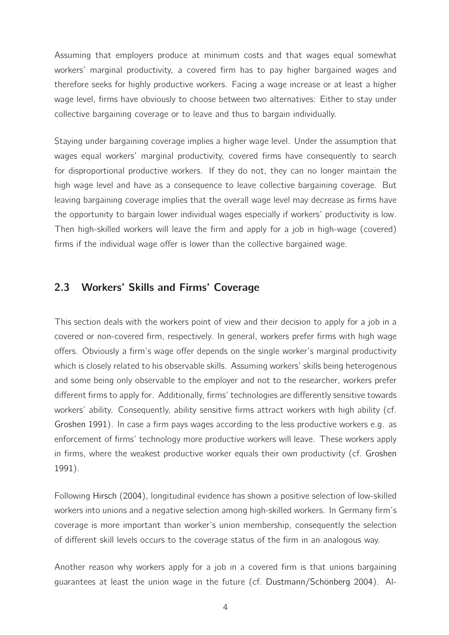Assuming that employers produce at minimum costs and that wages equal somewhat workers' marginal productivity, a covered firm has to pay higher bargained wages and therefore seeks for highly productive workers. Facing a wage increase or at least a higher wage level, firms have obviously to choose between two alternatives: Either to stay under collective bargaining coverage or to leave and thus to bargain individually.

Staying under bargaining coverage implies a higher wage level. Under the assumption that wages equal workers' marginal productivity, covered firms have consequently to search for disproportional productive workers. If they do not, they can no longer maintain the high wage level and have as a consequence to leave collective bargaining coverage. But leaving bargaining coverage implies that the overall wage level may decrease as firms have the opportunity to bargain lower individual wages especially if workers' productivity is low. Then high-skilled workers will leave the firm and apply for a job in high-wage (covered) firms if the individual wage offer is lower than the collective bargained wage.

### 2.3 Workers' Skills and Firms' Coverage

This section deals with the workers point of view and their decision to apply for a job in a covered or non-covered firm, respectively. In general, workers prefer firms with high wage offers. Obviously a firm's wage offer depends on the single worker's marginal productivity which is closely related to his observable skills. Assuming workers' skills being heterogenous and some being only observable to the employer and not to the researcher, workers prefer different firms to apply for. Additionally, firms' technologies are differently sensitive towards workers' ability. Consequently, ability sensitive firms attract workers with high ability (cf. [Groshen 1991](#page-18-8)). In case a firm pays wages according to the less productive workers e.g. as enforcement of firms' technology more productive workers will leave. These workers apply in firms, where the weakest productive worker equals their own productivity (cf. [Groshen](#page-18-8) [1991](#page-18-8)).

Following [Hirsch](#page-19-5) [\(2004](#page-19-5)), longitudinal evidence has shown a positive selection of low-skilled workers into unions and a negative selection among high-skilled workers. In Germany firm's coverage is more important than worker's union membership, consequently the selection of different skill levels occurs to the coverage status of the firm in an analogous way.

Another reason why workers apply for a job in a covered firm is that unions bargaining guarantees at least the union wage in the future (cf. [Dustmann/Schönberg 2004](#page-18-9)). Al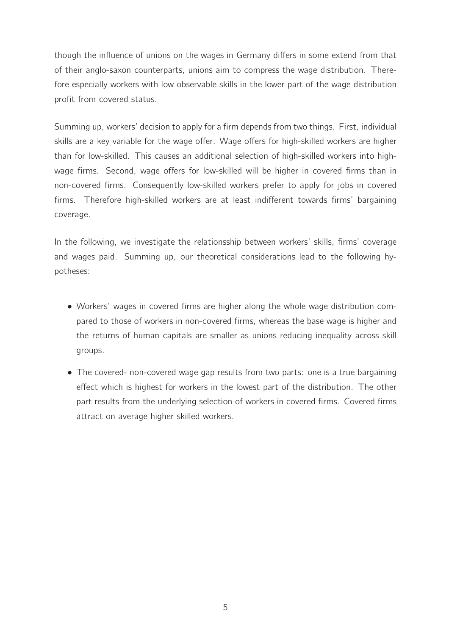though the influence of unions on the wages in Germany differs in some extend from that of their anglo-saxon counterparts, unions aim to compress the wage distribution. Therefore especially workers with low observable skills in the lower part of the wage distribution profit from covered status.

Summing up, workers' decision to apply for a firm depends from two things. First, individual skills are a key variable for the wage offer. Wage offers for high-skilled workers are higher than for low-skilled. This causes an additional selection of high-skilled workers into highwage firms. Second, wage offers for low-skilled will be higher in covered firms than in non-covered firms. Consequently low-skilled workers prefer to apply for jobs in covered firms. Therefore high-skilled workers are at least indifferent towards firms' bargaining coverage.

In the following, we investigate the relationsship between workers' skills, firms' coverage and wages paid. Summing up, our theoretical considerations lead to the following hypotheses:

- Workers' wages in covered firms are higher along the whole wage distribution compared to those of workers in non-covered firms, whereas the base wage is higher and the returns of human capitals are smaller as unions reducing inequality across skill groups.
- The covered- non-covered wage gap results from two parts: one is a true bargaining effect which is highest for workers in the lowest part of the distribution. The other part results from the underlying selection of workers in covered firms. Covered firms attract on average higher skilled workers.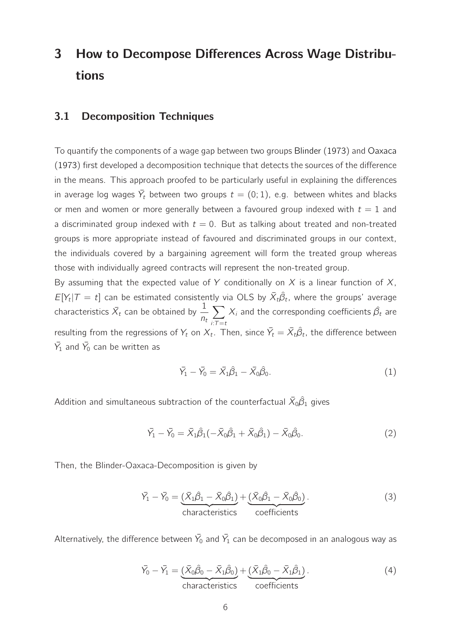# <span id="page-6-0"></span>3 How to Decompose Differences Across Wage Distributions

### 3.1 Decomposition Techniques

To quantify the components of a wage gap between two groups [Blinder](#page-18-10) [\(1973](#page-18-10)) and [Oaxaca](#page-19-6) [\(1973\)](#page-19-6) first developed a decomposition technique that detects the sources of the difference in the means. This approach proofed to be particularly useful in explaining the differences in average log wages  $\bar{Y}_t$  between two groups  $t = (0, 1)$ , e.g. between whites and blacks or men and women or more generally between a favoured group indexed with  $t = 1$  and a discriminated group indexed with  $t = 0$ . But as talking about treated and non-treated groups is more appropriate instead of favoured and discriminated groups in our context, the individuals covered by a bargaining agreement will form the treated group whereas those with individually agreed contracts will represent the non-treated group.

By assuming that the expected value of Y conditionally on X is a linear function of  $X$ ,  $E[Y_t | T = t]$  can be estimated consistently via OLS by  $\bar{X}_t \hat{\beta}_t$ , where the groups' average characteristics  $\bar{X}_t$  can be obtained by  $\frac{1}{r}$  $n_t$  $\sum$  $i:T = t$  $X_i$  and the corresponding coefficients  $\hat{\beta_t}$  are resulting from the regressions of  $Y_t$  on  $X_t$ . Then, since  $\bar{Y}_t=\bar{X_t}\hat{\beta}_t$ , the difference between  $\bar{Y}_1$  and  $\bar{Y}_0$  can be written as

$$
\bar{Y}_1 - \bar{Y}_0 = \bar{X}_1 \hat{\beta}_1 - \bar{X}_0 \hat{\beta}_0. \tag{1}
$$

Addition and simultaneous subtraction of the counterfactual  $\bar{X}_0 \hat{\beta}_1$  gives

$$
\bar{Y}_1 - \bar{Y}_0 = \bar{X}_1 \hat{\beta}_1 (-\bar{X}_0 \hat{\beta}_1 + \bar{X}_0 \hat{\beta}_1) - \bar{X}_0 \hat{\beta}_0.
$$
\n(2)

<span id="page-6-1"></span>Then, the Blinder-Oaxaca-Decomposition is given by

$$
\bar{Y}_1 - \bar{Y}_0 = \underbrace{(\bar{X}_1 \hat{\beta}_1 - \bar{X}_0 \hat{\beta}_1)}_{\text{characteristics}} + \underbrace{(\bar{X}_0 \hat{\beta}_1 - \bar{X}_0 \hat{\beta}_0)}_{\text{coefficients}}.
$$
\n(3)

<span id="page-6-2"></span>Alternatively, the difference between  $\bar{Y}_0$  and  $\bar{Y}_1$  can be decomposed in an analogous way as

$$
\bar{Y}_0 - \bar{Y}_1 = \underbrace{(\bar{X}_0 \hat{\beta}_0 - \bar{X}_1 \hat{\beta}_0)}_{\text{characteristics}} + \underbrace{(\bar{X}_1 \hat{\beta}_0 - \bar{X}_1 \hat{\beta}_1)}_{\text{coefficients}}.
$$
\n(4)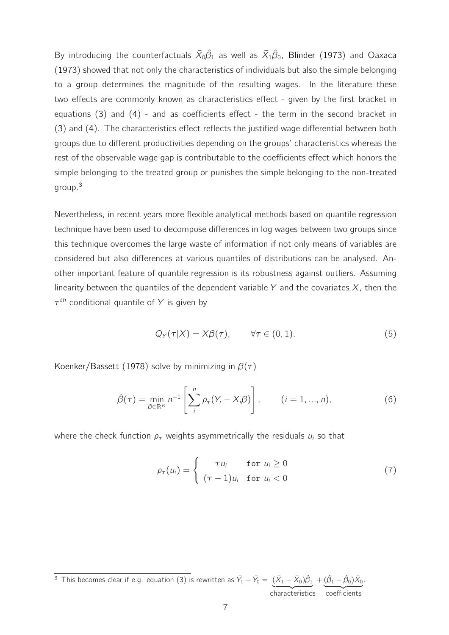By introducing the counterfactuals  $\bar{X}_0 \hat{\beta}_1$  as well as  $\bar{X}_1 \hat{\beta}_0$ , [Blinder](#page-18-10) [\(1973](#page-18-10)) and [Oaxaca](#page-19-6) [\(1973\)](#page-19-6) showed that not only the characteristics of individuals but also the simple belonging to a group determines the magnitude of the resulting wages. In the literature these two effects are commonly known as characteristics effect - given by the first bracket in equations [\(3\)](#page-6-1) and [\(4\)](#page-6-2) - and as coefficients effect - the term in the second bracket in [\(3\)](#page-6-1) and [\(4\)](#page-6-2). The characteristics effect reflects the justified wage differential between both groups due to different productivities depending on the groups' characteristics whereas the rest of the observable wage gap is contributable to the coefficients effect which honors the simple belonging to the treated group or punishes the simple belonging to the non-treated group.[3](#page-7-0)

Nevertheless, in recent years more flexible analytical methods based on quantile regression technique have been used to decompose differences in log wages between two groups since this technique overcomes the large waste of information if not only means of variables are considered but also differences at various quantiles of distributions can be analysed. Another important feature of quantile regression is its robustness against outliers. Assuming linearity between the quantiles of the dependent variable Y and the covariates X, then the  $\tau^{th}$  conditional quantile of Y is given by

$$
Q_Y(\tau|X) = X\beta(\tau), \qquad \forall \tau \in (0,1). \tag{5}
$$

[Koenker/Bassett](#page-19-7) [\(1978\)](#page-19-7) solve by minimizing in  $\beta(\tau)$ 

$$
\hat{\beta}(\tau) = \min_{\beta \in \mathbb{R}^K} n^{-1} \left[ \sum_{i}^{n} \rho_{\tau} (Y_i - X_i \beta) \right], \qquad (i = 1, ..., n), \qquad (6)
$$

where the check function  $\rho_{\tau}$  weights asymmetrically the residuals  $u_i$  so that

$$
\rho_{\tau}(u_i) = \begin{cases}\n\tau u_i & \text{for } u_i \ge 0 \\
(\tau - 1)u_i & \text{for } u_i < 0\n\end{cases}
$$
\n(7)

.

<span id="page-7-0"></span> $^3$  This becomes clear if e.g. equation [\(3\)](#page-6-1) is rewritten as  $\bar{Y_1}-\bar{Y_0} = \ (\bar{X_1}-\bar{X_0})\hat{\beta_1}$ characteristics  $+ \,(\hat{\beta_1} - \hat{\beta_0}) \bar{X_0}$ coefficients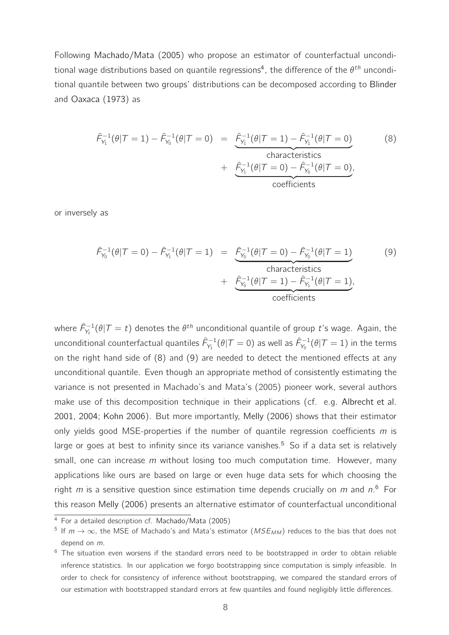Following [Machado/Mata](#page-19-0) [\(2005](#page-19-0)) who propose an estimator of counterfactual uncondi-tional wage distributions based on quantile regressions<sup>[4](#page-8-0)</sup>, the difference of the  $\theta^{th}$  unconditional quantile between two groups' distributions can be decomposed according to [Blinder](#page-18-10) and [Oaxaca](#page-19-6) [\(1973](#page-19-6)) as

<span id="page-8-1"></span>
$$
\hat{F}_{Y_1}^{-1}(\theta|T=1) - \hat{F}_{Y_0}^{-1}(\theta|T=0) = \underbrace{\hat{F}_{Y_1}^{-1}(\theta|T=1) - \hat{F}_{Y_1}^{-1}(\theta|T=0)}_{characteristics} + \underbrace{\hat{F}_{Y_1}^{-1}(\theta|T=0) - \hat{F}_{Y_0}^{-1}(\theta|T=0)}_{coefficients},
$$
\n(8)

<span id="page-8-2"></span>or inversely as

$$
\hat{F}_{Y_0}^{-1}(\theta|T=0) - \hat{F}_{Y_1}^{-1}(\theta|T=1) = \underbrace{\hat{F}_{Y_0}^{-1}(\theta|T=0) - \hat{F}_{Y_0}^{-1}(\theta|T=1)}_{\text{characteristics}} + \underbrace{\hat{F}_{Y_0}^{-1}(\theta|T=1) - \hat{F}_{Y_1}^{-1}(\theta|T=1)}_{\text{coefficients}},
$$
\n(9)

where  $\hat{\digamma}^{-1}_t(\theta | T=t)$  denotes the  $\theta^{th}$  unconditional quantile of group  $t$ 's wage. Again, the unconditional counterfactual quantiles  $\hat{\digamma}_{Y_1}^{-1}(\theta|T=0)$  as well as  $\hat{\digamma}_{Y_0}^{-1}(\theta|T=1)$  in the terms on the right hand side of [\(8\)](#page-8-1) and [\(9\)](#page-8-2) are needed to detect the mentioned effects at any unconditional quantile. Even though an appropriate method of consistently estimating the variance is not presented in Machado's and Mata's (2005) pioneer work, several authors make use of this decomposition technique in their applications (cf. e.g. [Albrecht et al.](#page-18-11) [2001](#page-18-11), [2004;](#page-18-12) [Kohn 2006\)](#page-19-8). But more importantly, [Melly](#page-19-9) [\(2006](#page-19-9)) shows that their estimator only yields good MSE-properties if the number of quantile regression coefficients  $m$  is large or goes at best to infinity since its variance vanishes.<sup>[5](#page-8-3)</sup> So if a data set is relatively small, one can increase  $m$  without losing too much computation time. However, many applications like ours are based on large or even huge data sets for which choosing the right m is a sensitive question since estimation time depends crucially on m and  $n^{6}$  $n^{6}$  $n^{6}$  For this reason [Melly](#page-19-9) [\(2006\)](#page-19-9) presents an alternative estimator of counterfactual unconditional

<sup>4</sup> For a detailed description cf. [Machado/Mata](#page-19-0) [\(2005](#page-19-0))

<span id="page-8-3"></span><span id="page-8-0"></span> $^5$  If  $m\to\infty$ , the MSE of Machado's and Mata's estimator ( $MSE_{MM}$ ) reduces to the bias that does not depend on m.

<span id="page-8-4"></span><sup>&</sup>lt;sup>6</sup> The situation even worsens if the standard errors need to be bootstrapped in order to obtain reliable inference statistics. In our application we forgo bootstrapping since computation is simply infeasible. In order to check for consistency of inference without bootstrapping, we compared the standard errors of our estimation with bootstrapped standard errors at few quantiles and found negligibly little differences.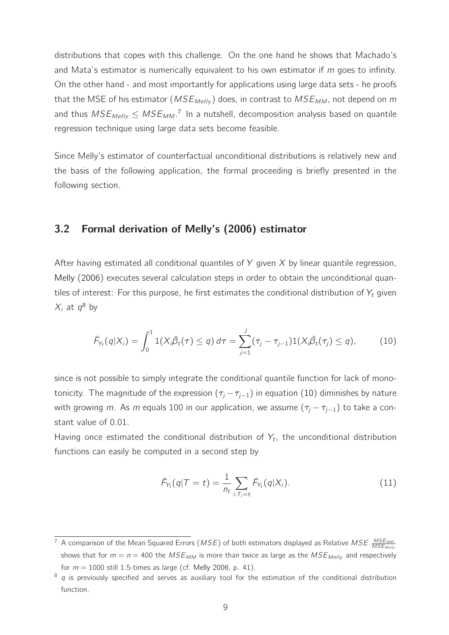distributions that copes with this challenge. On the one hand he shows that Machado's and Mata's estimator is numerically equivalent to his own estimator if  $m$  goes to infinity. On the other hand - and most importantly for applications using large data sets - he proofs that the MSE of his estimator ( $MSE_{Melly}$ ) does, in contrast to  $MSE_{MM}$ , not depend on m and thus  $MSE_{Melly} \leq MSE_{MM}.$ <sup>[7](#page-9-0)</sup> In a nutshell, decomposition analysis based on quantile regression technique using large data sets become feasible.

Since Melly's estimator of counterfactual unconditional distributions is relatively new and the basis of the following application, the formal proceeding is briefly presented in the following section.

### 3.2 Formal derivation of Melly's (2006) estimator

After having estimated all conditional quantiles of Y given  $X$  by linear quantile regression, [Melly](#page-19-9) [\(2006\)](#page-19-9) executes several calculation steps in order to obtain the unconditional quantiles of interest: For this purpose, he first estimates the conditional distribution of  $Y_t$  given  $X_i$  at  $q^8$  $q^8$  by

$$
\hat{\mathsf{F}}_{Y_t}(q|X_i) = \int_0^1 1(X_i\hat{\beta}_t(\tau) \leq q) d\tau = \sum_{j=1}^J (\tau_j - \tau_{j-1}) 1(X_i\hat{\beta}_t(\tau_j) \leq q), \tag{10}
$$

<span id="page-9-2"></span>since is not possible to simply integrate the conditional quantile function for lack of monotonicity. The magnitude of the expression  $(\tau_i - \tau_{i-1})$  in equation [\(10\)](#page-9-2) diminishes by nature with growing m. As m equals 100 in our application, we assume  $(\tau_j - \tau_{j-1})$  to take a constant value of 0.01.

Having once estimated the conditional distribution of  $Y_t$ , the unconditional distribution functions can easily be computed in a second step by

$$
\hat{F}_{Y_t}(q|T=t) = \frac{1}{n_t} \sum_{i:T_i=t} \hat{F}_{Y_t}(q|X_i).
$$
\n(11)

<span id="page-9-0"></span> $^7$  A comparison of the Mean Squared Errors (*MSE*) of both estimators displayed as Relative *MSE*  $\frac{MSE_{MMD}}{MSE_{Mell}}$ shows that for  $m = n = 400$  the  $MSE_{MM}$  is more than twice as large as the  $MSE_{Melly}$  and respectively for  $m = 1000$  still 1.5-times as large (cf. [Melly 2006,](#page-19-9) p. 41).

<span id="page-9-1"></span> $8$  q is previously specified and serves as auxiliary tool for the estimation of the conditional distribution function.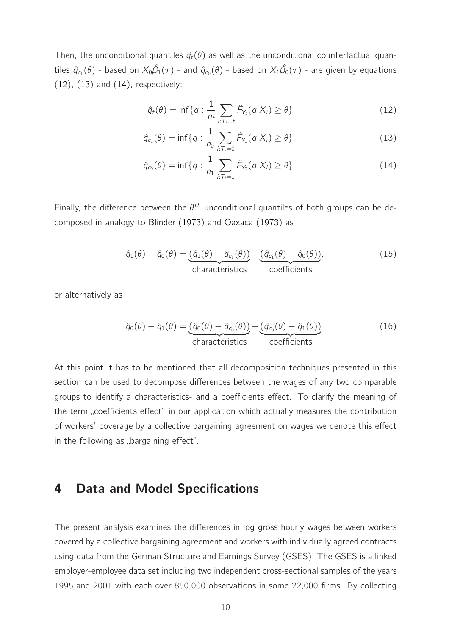Then, the unconditional quantiles  $\hat{q}_t(\theta)$  as well as the unconditional counterfactual quantiles  $\hat q_{c_1}(\theta)$  - based on  $X_0\hat\beta_1(\tau)$  - and  $\hat q_{c_0}(\theta)$  - based on  $X_1\hat\beta_0(\tau)$  - are given by equations [\(12\)](#page-10-1), [\(13\)](#page-10-1) and [\(14\)](#page-10-1), respectively:

<span id="page-10-1"></span>
$$
\hat{q}_t(\theta) = \inf \{ q : \frac{1}{n_t} \sum_{i: T_i = t} \hat{F}_{Y_t}(q|X_i) \ge \theta \}
$$
\n(12)

$$
\hat{q}_{c_1}(\theta) = \inf \{ q : \frac{1}{n_0} \sum_{i: T_i = 0} \hat{F}_{Y_1}(q|X_i) \ge \theta \}
$$
\n(13)

$$
\hat{q}_{c_0}(\theta) = \inf \{ q : \frac{1}{n_1} \sum_{i: T_i = 1} \hat{F}_{Y_0}(q|X_i) \ge \theta \}
$$
\n(14)

Finally, the difference between the  $\theta^{th}$  unconditional quantiles of both groups can be decomposed in analogy to [Blinder](#page-18-10) [\(1973](#page-18-10)) and [Oaxaca](#page-19-6) [\(1973](#page-19-6)) as

$$
\hat{q}_1(\theta) - \hat{q}_0(\theta) = \underbrace{(\hat{q}_1(\theta) - \hat{q}_{c_1}(\theta))}_{\text{characteristics}} + \underbrace{(\hat{q}_{c_1}(\theta) - \hat{q}_0(\theta))}_{\text{coefficients}},
$$
\n(15)

or alternatively as

$$
\hat{q}_0(\theta) - \hat{q}_1(\theta) = \underbrace{(\hat{q}_0(\theta) - \hat{q}_{c_0}(\theta))}_{\text{characteristics}} + \underbrace{(\hat{q}_{c_0}(\theta) - \hat{q}_1(\theta))}_{\text{coefficients}}.
$$
\n(16)

At this point it has to be mentioned that all decomposition techniques presented in this section can be used to decompose differences between the wages of any two comparable groups to identify a characteristics- and a coefficients effect. To clarify the meaning of the term "coefficients effect" in our application which actually measures the contribution of workers' coverage by a collective bargaining agreement on wages we denote this effect in the following as "bargaining effect".

# <span id="page-10-0"></span>4 Data and Model Specifications

The present analysis examines the differences in log gross hourly wages between workers covered by a collective bargaining agreement and workers with individually agreed contracts using data from the German Structure and Earnings Survey (GSES). The GSES is a linked employer-employee data set including two independent cross-sectional samples of the years 1995 and 2001 with each over 850,000 observations in some 22,000 firms. By collecting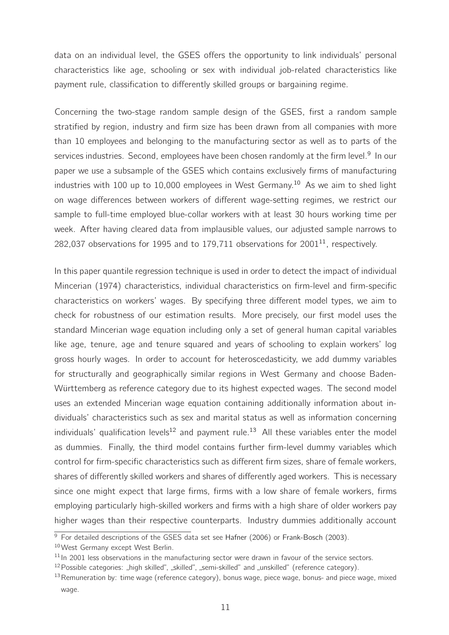data on an individual level, the GSES offers the opportunity to link individuals' personal characteristics like age, schooling or sex with individual job-related characteristics like payment rule, classification to differently skilled groups or bargaining regime.

Concerning the two-stage random sample design of the GSES, first a random sample stratified by region, industry and firm size has been drawn from all companies with more than 10 employees and belonging to the manufacturing sector as well as to parts of the services industries. Second, employees have been chosen randomly at the firm level.<sup>[9](#page-11-0)</sup> In our paper we use a subsample of the GSES which contains exclusively firms of manufacturing industries with [10](#page-11-1)0 up to 10,000 employees in West Germany.<sup>10</sup> As we aim to shed light on wage differences between workers of different wage-setting regimes, we restrict our sample to full-time employed blue-collar workers with at least 30 hours working time per week. After having cleared data from implausible values, our adjusted sample narrows to 282,037 observations for 1995 and to 179,7[11](#page-11-2) observations for  $2001^{11}$ , respectively.

In this paper quantile regression technique is used in order to detect the impact of individual Mincerian (1974) characteristics, individual characteristics on firm-level and firm-specific characteristics on workers' wages. By specifying three different model types, we aim to check for robustness of our estimation results. More precisely, our first model uses the standard Mincerian wage equation including only a set of general human capital variables like age, tenure, age and tenure squared and years of schooling to explain workers' log gross hourly wages. In order to account for heteroscedasticity, we add dummy variables for structurally and geographically similar regions in West Germany and choose Baden-Württemberg as reference category due to its highest expected wages. The second model uses an extended Mincerian wage equation containing additionally information about individuals' characteristics such as sex and marital status as well as information concerning individuals' qualification levels<sup>[12](#page-11-3)</sup> and payment rule.<sup>[13](#page-11-4)</sup> All these variables enter the model as dummies. Finally, the third model contains further firm-level dummy variables which control for firm-specific characteristics such as different firm sizes, share of female workers, shares of differently skilled workers and shares of differently aged workers. This is necessary since one might expect that large firms, firms with a low share of female workers, firms employing particularly high-skilled workers and firms with a high share of older workers pay higher wages than their respective counterparts. Industry dummies additionally account

<sup>&</sup>lt;sup>9</sup> For detailed descriptions of the GSES data set see [Hafner](#page-19-10) [\(2006](#page-19-10)) or [Frank-Bosch](#page-18-13) [\(2003\)](#page-18-13).

<span id="page-11-0"></span><sup>10</sup>West Germany except West Berlin.

<span id="page-11-1"></span> $11$  In 2001 less observations in the manufacturing sector were drawn in favour of the service sectors.

<span id="page-11-2"></span><sup>&</sup>lt;sup>12</sup> Possible categories: "high skilled", "skilled", "semi-skilled" and "unskilled" (reference category).

<span id="page-11-4"></span><span id="page-11-3"></span> $13$  Remuneration by: time wage (reference category), bonus wage, piece wage, bonus- and piece wage, mixed wage.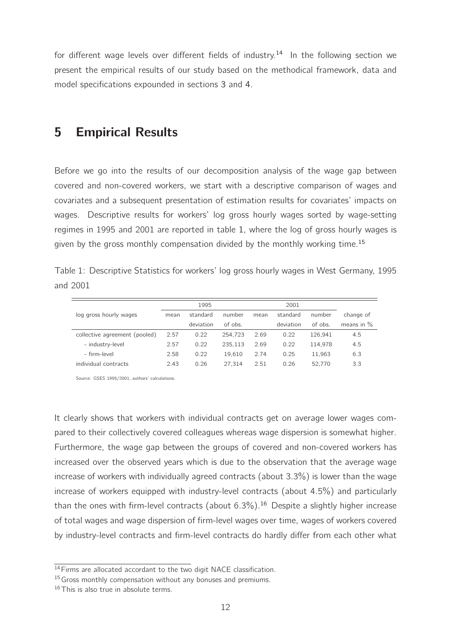for different wage levels over different fields of industry.<sup>[14](#page-12-1)</sup> In the following section we present the empirical results of our study based on the methodical framework, data and model specifications expounded in sections [3](#page-6-0) and [4.](#page-10-0)

# <span id="page-12-0"></span>5 Empirical Results

Before we go into the results of our decomposition analysis of the wage gap between covered and non-covered workers, we start with a descriptive comparison of wages and covariates and a subsequent presentation of estimation results for covariates' impacts on wages. Descriptive results for workers' log gross hourly wages sorted by wage-setting regimes in 1995 and 2001 are reported in table [1,](#page-12-2) where the log of gross hourly wages is given by the gross monthly compensation divided by the monthly working time.<sup>[15](#page-12-3)</sup>

<span id="page-12-2"></span>Table 1: Descriptive Statistics for workers' log gross hourly wages in West Germany, 1995 and 2001

|                               | 1995 |           |         |      | 2001      |         |              |
|-------------------------------|------|-----------|---------|------|-----------|---------|--------------|
| log gross hourly wages        | mean | standard  | number  | mean | standard  | number  | change of    |
|                               |      | deviation | of obs. |      | deviation | of obs. | means in $%$ |
| collective agreement (pooled) | 2.57 | 0.22      | 254.723 | 2.69 | 0.22      | 126.941 | 4.5          |
| - industry-level              | 2.57 | 0.22      | 235.113 | 2.69 | 0.22      | 114.978 | 4.5          |
| - firm-level                  | 2.58 | 0.22      | 19.610  | 2.74 | 0.25      | 11.963  | 6.3          |
| individual contracts          | 2.43 | 0.26      | 27.314  | 2.51 | 0.26      | 52.770  | 3.3          |

Source: GSES 1995/2001, authors' calculations.

It clearly shows that workers with individual contracts get on average lower wages compared to their collectively covered colleagues whereas wage dispersion is somewhat higher. Furthermore, the wage gap between the groups of covered and non-covered workers has increased over the observed years which is due to the observation that the average wage increase of workers with individually agreed contracts (about 3.3%) is lower than the wage increase of workers equipped with industry-level contracts (about 4.5%) and particularly than the ones with firm-level contracts (about  $6.3\%$ ).<sup>[16](#page-12-4)</sup> Despite a slightly higher increase of total wages and wage dispersion of firm-level wages over time, wages of workers covered by industry-level contracts and firm-level contracts do hardly differ from each other what

<sup>14</sup>Firms are allocated accordant to the two digit NACE classification.

<span id="page-12-1"></span><sup>&</sup>lt;sup>15</sup> Gross monthly compensation without any bonuses and premiums.

<span id="page-12-4"></span><span id="page-12-3"></span><sup>&</sup>lt;sup>16</sup>This is also true in absolute terms.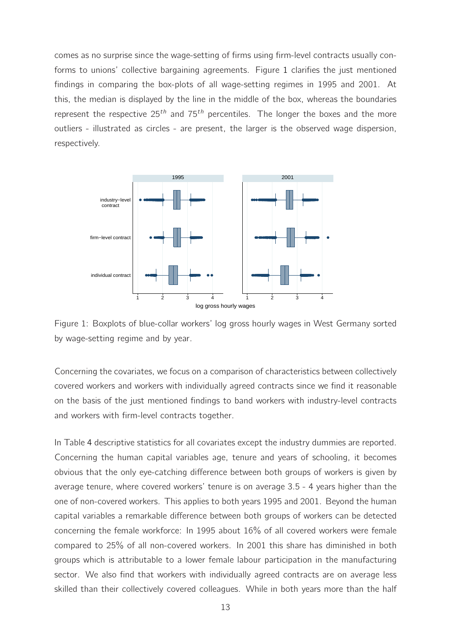comes as no surprise since the wage-setting of firms using firm-level contracts usually conforms to unions' collective bargaining agreements. Figure [1](#page-13-0) clarifies the just mentioned findings in comparing the box-plots of all wage-setting regimes in 1995 and 2001. At this, the median is displayed by the line in the middle of the box, whereas the boundaries represent the respective  $25<sup>th</sup>$  and  $75<sup>th</sup>$  percentiles. The longer the boxes and the more outliers - illustrated as circles - are present, the larger is the observed wage dispersion, respectively.



<span id="page-13-0"></span>Figure 1: Boxplots of blue-collar workers' log gross hourly wages in West Germany sorted by wage-setting regime and by year.

Concerning the covariates, we focus on a comparison of characteristics between collectively covered workers and workers with individually agreed contracts since we find it reasonable on the basis of the just mentioned findings to band workers with industry-level contracts and workers with firm-level contracts together.

In Table [4](#page-21-0) descriptive statistics for all covariates except the industry dummies are reported. Concerning the human capital variables age, tenure and years of schooling, it becomes obvious that the only eye-catching difference between both groups of workers is given by average tenure, where covered workers' tenure is on average 3.5 - 4 years higher than the one of non-covered workers. This applies to both years 1995 and 2001. Beyond the human capital variables a remarkable difference between both groups of workers can be detected concerning the female workforce: In 1995 about 16% of all covered workers were female compared to 25% of all non-covered workers. In 2001 this share has diminished in both groups which is attributable to a lower female labour participation in the manufacturing sector. We also find that workers with individually agreed contracts are on average less skilled than their collectively covered colleagues. While in both years more than the half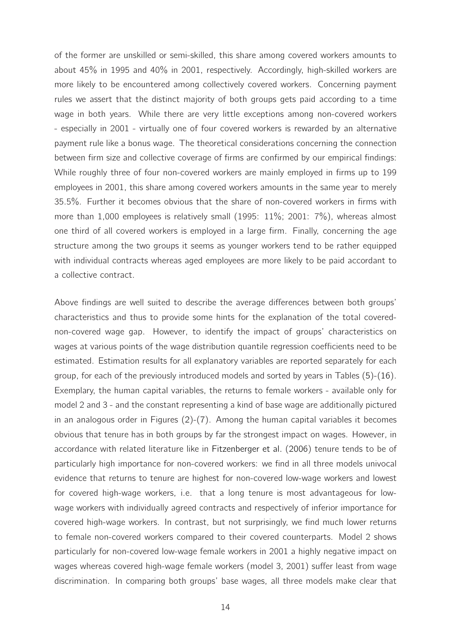of the former are unskilled or semi-skilled, this share among covered workers amounts to about 45% in 1995 and 40% in 2001, respectively. Accordingly, high-skilled workers are more likely to be encountered among collectively covered workers. Concerning payment rules we assert that the distinct majority of both groups gets paid according to a time wage in both years. While there are very little exceptions among non-covered workers - especially in 2001 - virtually one of four covered workers is rewarded by an alternative payment rule like a bonus wage. The theoretical considerations concerning the connection between firm size and collective coverage of firms are confirmed by our empirical findings: While roughly three of four non-covered workers are mainly employed in firms up to 199 employees in 2001, this share among covered workers amounts in the same year to merely 35.5%. Further it becomes obvious that the share of non-covered workers in firms with more than 1,000 employees is relatively small (1995: 11%; 2001: 7%), whereas almost one third of all covered workers is employed in a large firm. Finally, concerning the age structure among the two groups it seems as younger workers tend to be rather equipped with individual contracts whereas aged employees are more likely to be paid accordant to a collective contract.

Above findings are well suited to describe the average differences between both groups' characteristics and thus to provide some hints for the explanation of the total coverednon-covered wage gap. However, to identify the impact of groups' characteristics on wages at various points of the wage distribution quantile regression coefficients need to be estimated. Estimation results for all explanatory variables are reported separately for each group, for each of the previously introduced models and sorted by years in Tables [\(5\)](#page-22-0)-[\(16\)](#page-31-0). Exemplary, the human capital variables, the returns to female workers - available only for model 2 and 3 - and the constant representing a kind of base wage are additionally pictured in an analogous order in Figures [\(2\)](#page-32-0)-[\(7\)](#page-34-0). Among the human capital variables it becomes obvious that tenure has in both groups by far the strongest impact on wages. However, in accordance with related literature like in [Fitzenberger et al.](#page-18-4) [\(2006](#page-18-4)) tenure tends to be of particularly high importance for non-covered workers: we find in all three models univocal evidence that returns to tenure are highest for non-covered low-wage workers and lowest for covered high-wage workers, i.e. that a long tenure is most advantageous for lowwage workers with individually agreed contracts and respectively of inferior importance for covered high-wage workers. In contrast, but not surprisingly, we find much lower returns to female non-covered workers compared to their covered counterparts. Model 2 shows particularly for non-covered low-wage female workers in 2001 a highly negative impact on wages whereas covered high-wage female workers (model 3, 2001) suffer least from wage discrimination. In comparing both groups' base wages, all three models make clear that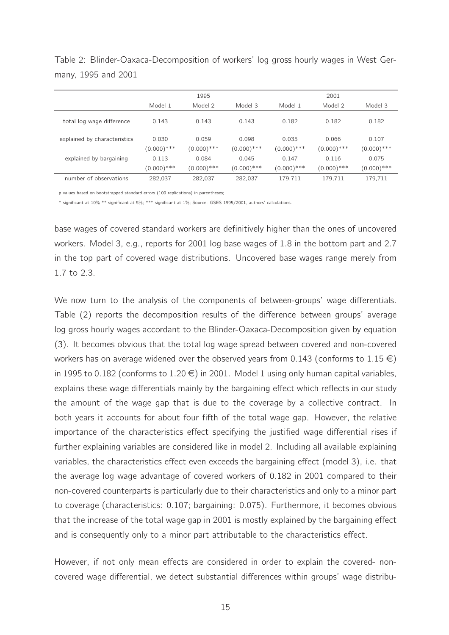1995 2001 Model 1 Model 2 Model 3 Model 1 Model 2 Model 3 total log wage difference 0.143 0.143 0.143 0.182 0.182 0.182 explained by characteristics 0.030 0.059 0.098 0.035 0.066 0.107  $(0.000)$ \*\*\*  $(0.000)$ \*\*\*  $(0.000)$ \*\*\*  $(0.000)$ \*\*\*  $(0.000)$ \*\*\*  $(0.000)$ \*\*\* explained by bargaining 0.113 0.084 0.045 0.147 0.116 0.075  $(0.000)$ \*\*\*  $(0.000)$ \*\*\*  $(0.000)$ \*\*\*  $(0.000)$ \*\*\*  $(0.000)$ \*\*\*  $(0.000)$ \*\*\*  $(0.000)$ \*\*\* number of observations 282,037 282,037 282,037 179,711 179,711 179,711

<span id="page-15-0"></span>Table 2: Blinder-Oaxaca-Decomposition of workers' log gross hourly wages in West Germany, 1995 and 2001

p values based on bootstrapped standard errors (100 replications) in parentheses;

\* significant at 10% \*\* significant at 5%; \*\*\* significant at 1%; Source: GSES 1995/2001, authors' calculations.

base wages of covered standard workers are definitively higher than the ones of uncovered workers. Model 3, e.g., reports for 2001 log base wages of 1.8 in the bottom part and 2.7 in the top part of covered wage distributions. Uncovered base wages range merely from 1.7 to 2.3.

We now turn to the analysis of the components of between-groups' wage differentials. Table [\(2\)](#page-15-0) reports the decomposition results of the difference between groups' average log gross hourly wages accordant to the Blinder-Oaxaca-Decomposition given by equation [\(3\)](#page-6-1). It becomes obvious that the total log wage spread between covered and non-covered workers has on average widened over the observed years from 0.143 (conforms to 1.15  $\in$ ) in 1995 to 0.182 (conforms to 1.20  $\in$ ) in 2001. Model 1 using only human capital variables, explains these wage differentials mainly by the bargaining effect which reflects in our study the amount of the wage gap that is due to the coverage by a collective contract. In both years it accounts for about four fifth of the total wage gap. However, the relative importance of the characteristics effect specifying the justified wage differential rises if further explaining variables are considered like in model 2. Including all available explaining variables, the characteristics effect even exceeds the bargaining effect (model 3), i.e. that the average log wage advantage of covered workers of 0.182 in 2001 compared to their non-covered counterparts is particularly due to their characteristics and only to a minor part to coverage (characteristics: 0.107; bargaining: 0.075). Furthermore, it becomes obvious that the increase of the total wage gap in 2001 is mostly explained by the bargaining effect and is consequently only to a minor part attributable to the characteristics effect.

However, if not only mean effects are considered in order to explain the covered- noncovered wage differential, we detect substantial differences within groups' wage distribu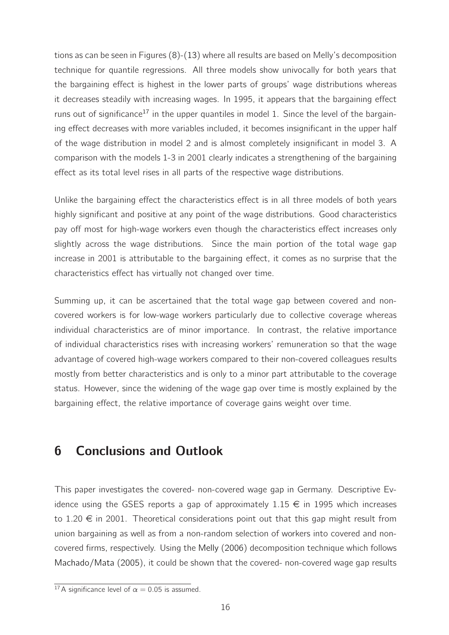tions as can be seen in Figures [\(8\)](#page-35-0)-[\(13\)](#page-37-0) where all results are based on Melly's decomposition technique for quantile regressions. All three models show univocally for both years that the bargaining effect is highest in the lower parts of groups' wage distributions whereas it decreases steadily with increasing wages. In 1995, it appears that the bargaining effect runs out of significance<sup>[17](#page-16-1)</sup> in the upper quantiles in model 1. Since the level of the bargaining effect decreases with more variables included, it becomes insignificant in the upper half of the wage distribution in model 2 and is almost completely insignificant in model 3. A comparison with the models 1-3 in 2001 clearly indicates a strengthening of the bargaining effect as its total level rises in all parts of the respective wage distributions.

Unlike the bargaining effect the characteristics effect is in all three models of both years highly significant and positive at any point of the wage distributions. Good characteristics pay off most for high-wage workers even though the characteristics effect increases only slightly across the wage distributions. Since the main portion of the total wage gap increase in 2001 is attributable to the bargaining effect, it comes as no surprise that the characteristics effect has virtually not changed over time.

Summing up, it can be ascertained that the total wage gap between covered and noncovered workers is for low-wage workers particularly due to collective coverage whereas individual characteristics are of minor importance. In contrast, the relative importance of individual characteristics rises with increasing workers' remuneration so that the wage advantage of covered high-wage workers compared to their non-covered colleagues results mostly from better characteristics and is only to a minor part attributable to the coverage status. However, since the widening of the wage gap over time is mostly explained by the bargaining effect, the relative importance of coverage gains weight over time.

# <span id="page-16-0"></span>6 Conclusions and Outlook

This paper investigates the covered- non-covered wage gap in Germany. Descriptive Evidence using the GSES reports a gap of approximately  $1.15 \notin \mathbb{R}$  in 1995 which increases to 1.20  $\epsilon$  in 2001. Theoretical considerations point out that this gap might result from union bargaining as well as from a non-random selection of workers into covered and noncovered firms, respectively. Using the [Melly](#page-19-9) [\(2006\)](#page-19-9) decomposition technique which follows [Machado/Mata](#page-19-0) [\(2005\)](#page-19-0), it could be shown that the covered- non-covered wage gap results

<span id="page-16-1"></span><sup>&</sup>lt;sup>17</sup>A significance level of  $\alpha = 0.05$  is assumed.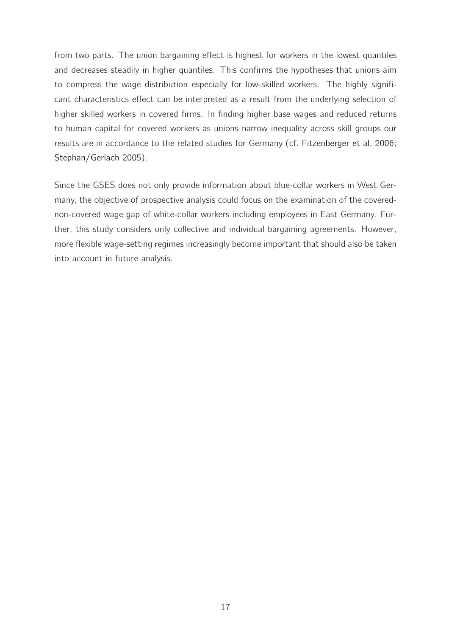from two parts. The union bargaining effect is highest for workers in the lowest quantiles and decreases steadily in higher quantiles. This confirms the hypotheses that unions aim to compress the wage distribution especially for low-skilled workers. The highly significant characteristics effect can be interpreted as a result from the underlying selection of higher skilled workers in covered firms. In finding higher base wages and reduced returns to human capital for covered workers as unions narrow inequality across skill groups our results are in accordance to the related studies for Germany (cf. [Fitzenberger et al. 2006](#page-18-4); [Stephan/Gerlach 2005](#page-19-3)).

Since the GSES does not only provide information about blue-collar workers in West Germany, the objective of prospective analysis could focus on the examination of the coverednon-covered wage gap of white-collar workers including employees in East Germany. Further, this study considers only collective and individual bargaining agreements. However, more flexible wage-setting regimes increasingly become important that should also be taken into account in future analysis.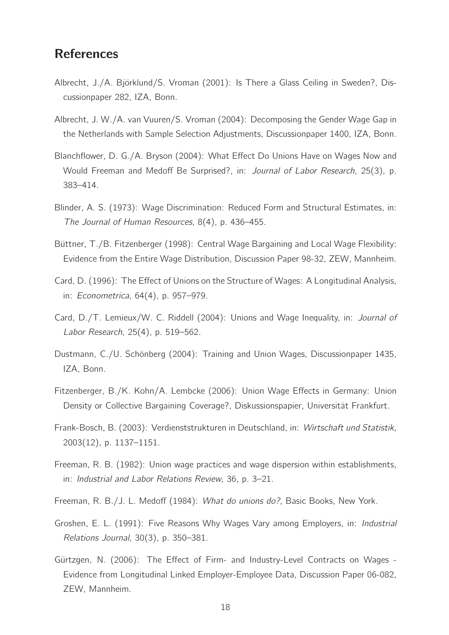## References

- <span id="page-18-11"></span>Albrecht, J./A. Björklund/S. Vroman (2001): Is There a Glass Ceiling in Sweden?, Discussionpaper 282, IZA, Bonn.
- <span id="page-18-12"></span>Albrecht, J. W./A. van Vuuren/S. Vroman (2004): Decomposing the Gender Wage Gap in the Netherlands with Sample Selection Adjustments, Discussionpaper 1400, IZA, Bonn.
- <span id="page-18-0"></span>Blanchflower, D. G./A. Bryson (2004): What Effect Do Unions Have on Wages Now and Would Freeman and Medoff Be Surprised?, in: Journal of Labor Research, 25(3), p. 383–414.
- <span id="page-18-10"></span>Blinder, A. S. (1973): Wage Discrimination: Reduced Form and Structural Estimates, in: The Journal of Human Resources, 8(4), p. 436–455.
- <span id="page-18-7"></span>Büttner, T./B. Fitzenberger (1998): Central Wage Bargaining and Local Wage Flexibility: Evidence from the Entire Wage Distribution, Discussion Paper 98-32, ZEW, Mannheim.
- <span id="page-18-6"></span>Card, D. (1996): The Effect of Unions on the Structure of Wages: A Longitudinal Analysis, in: Econometrica, 64(4), p. 957–979.
- <span id="page-18-1"></span>Card, D./T. Lemieux/W. C. Riddell (2004): Unions and Wage Inequality, in: Journal of Labor Research, 25(4), p. 519–562.
- <span id="page-18-9"></span>Dustmann, C./U. Schönberg (2004): Training and Union Wages, Discussionpaper 1435, IZA, Bonn.
- <span id="page-18-4"></span>Fitzenberger, B./K. Kohn/A. Lembcke (2006): Union Wage Effects in Germany: Union Density or Collective Bargaining Coverage?, Diskussionspapier, Universität Frankfurt.
- <span id="page-18-13"></span>Frank-Bosch, B. (2003): Verdienststrukturen in Deutschland, in: Wirtschaft und Statistik, 2003(12), p. 1137–1151.
- <span id="page-18-2"></span>Freeman, R. B. (1982): Union wage practices and wage dispersion within establishments, in: Industrial and Labor Relations Review, 36, p. 3–21.
- <span id="page-18-3"></span>Freeman, R. B./J. L. Medoff (1984): What do unions do?, Basic Books, New York.
- <span id="page-18-8"></span>Groshen, E. L. (1991): Five Reasons Why Wages Vary among Employers, in: Industrial Relations Journal, 30(3), p. 350–381.
- <span id="page-18-5"></span>Gürtzgen, N. (2006): The Effect of Firm- and Industry-Level Contracts on Wages - Evidence from Longitudinal Linked Employer-Employee Data, Discussion Paper 06-082, ZEW, Mannheim.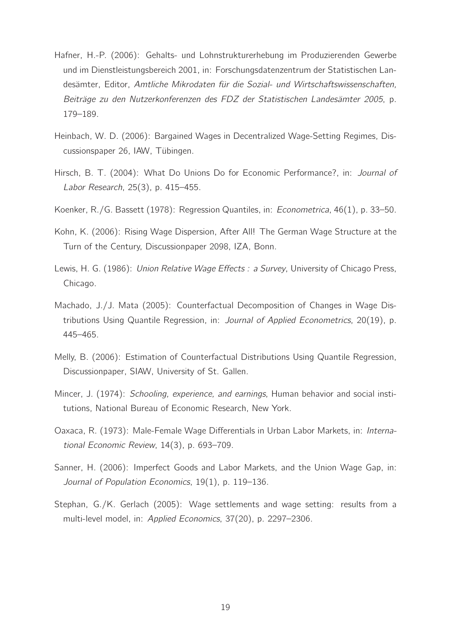- <span id="page-19-10"></span>Hafner, H.-P. (2006): Gehalts- und Lohnstrukturerhebung im Produzierenden Gewerbe und im Dienstleistungsbereich 2001, in: Forschungsdatenzentrum der Statistischen Landesämter, Editor, Amtliche Mikrodaten für die Sozial- und Wirtschaftswissenschaften, Beiträge zu den Nutzerkonferenzen des FDZ der Statistischen Landesämter 2005, p. 179–189.
- <span id="page-19-2"></span>Heinbach, W. D. (2006): Bargained Wages in Decentralized Wage-Setting Regimes, Discussionspaper 26, IAW, Tübingen.
- <span id="page-19-5"></span>Hirsch, B. T. (2004): What Do Unions Do for Economic Performance?, in: Journal of Labor Research, 25(3), p. 415–455.
- <span id="page-19-7"></span>Koenker, R./G. Bassett (1978): Regression Quantiles, in: Econometrica, 46(1), p. 33–50.
- <span id="page-19-8"></span>Kohn, K. (2006): Rising Wage Dispersion, After All! The German Wage Structure at the Turn of the Century, Discussionpaper 2098, IZA, Bonn.
- <span id="page-19-1"></span>Lewis, H. G. (1986): *Union Relative Wage Effects : a Survey*, University of Chicago Press, Chicago.
- <span id="page-19-0"></span>Machado, J./J. Mata (2005): Counterfactual Decomposition of Changes in Wage Distributions Using Quantile Regression, in: Journal of Applied Econometrics, 20(19), p. 445–465.
- <span id="page-19-9"></span>Melly, B. (2006): Estimation of Counterfactual Distributions Using Quantile Regression, Discussionpaper, SIAW, University of St. Gallen.
- Mincer, J. (1974): Schooling, experience, and earnings, Human behavior and social institutions, National Bureau of Economic Research, New York.
- <span id="page-19-6"></span>Oaxaca, R. (1973): Male-Female Wage Differentials in Urban Labor Markets, in: International Economic Review, 14(3), p. 693–709.
- <span id="page-19-4"></span>Sanner, H. (2006): Imperfect Goods and Labor Markets, and the Union Wage Gap, in: Journal of Population Economics, 19(1), p. 119–136.
- <span id="page-19-3"></span>Stephan, G./K. Gerlach (2005): Wage settlements and wage setting: results from a multi-level model, in: Applied Economics, 37(20), p. 2297–2306.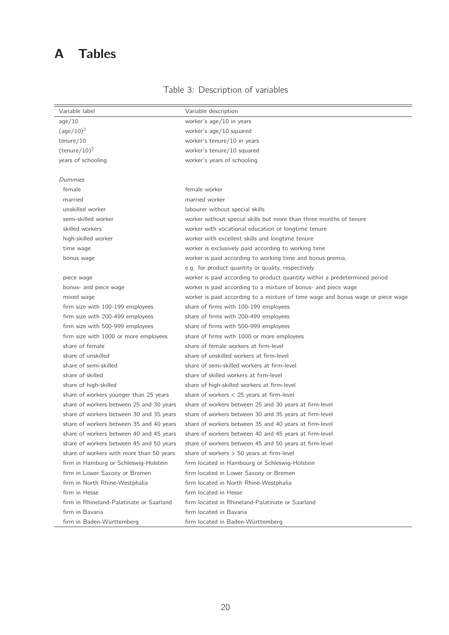# A Tables

| Variable label                           | Variable description                                                            |
|------------------------------------------|---------------------------------------------------------------------------------|
| aqe/10                                   | worker's age/10 in years                                                        |
| $(\text{age}/10)^2$                      | worker's age/10 squared                                                         |
| $t$ enure $/10$                          | worker's tenure/10 in years                                                     |
| $(\text{tenure}/10)^2$                   | worker's tenure/10 squared                                                      |
| years of schooling                       | worker's years of schooling                                                     |
|                                          |                                                                                 |
| Dummies                                  |                                                                                 |
| female                                   | female worker                                                                   |
| married                                  | married worker                                                                  |
| unskilled worker                         | labourer without special skills                                                 |
| semi-skilled worker                      | worker without special skills but more than three months of tenure              |
| skilled workers                          | worker with vocational education or longtime tenure                             |
| high-skilled worker                      | worker with excellent skills and longtime tenure                                |
| time wage                                | worker is exclusively paid according to working time                            |
| bonus wage                               | worker is paid according to working time and bonus premia,                      |
|                                          | e.g. for product quantity or quality, respectively                              |
| piece wage                               | worker is paid according to product quantity within a predetermined period      |
| bonus- and piece wage                    | worker is paid according to a mixture of bonus- and piece wage                  |
| mixed wage                               | worker is paid according to a mixture of time wage and bonus wage or piece wage |
| firm size with 100-199 employees         | share of firms with 100-199 employees                                           |
| firm size with 200-499 employees         | share of firms with 200-499 employees                                           |
| firm size with 500-999 employees         | share of firms with 500-999 employees                                           |
| firm size with 1000 or more employees    | share of firms with 1000 or more employees                                      |
| share of female                          | share of female workers at firm-level                                           |
| share of unskilled                       | share of unskilled workers at firm-level                                        |
| share of semi-skilled                    | share of semi-skilled workers at firm-level                                     |
| share of skilled                         | share of skilled workers at firm-level                                          |
| share of high-skilled                    | share of high-skilled workers at firm-level                                     |
| share of workers younger than 25 years   | share of workers $<$ 25 years at firm-level                                     |
| share of workers between 25 and 30 years | share of workers between 25 and 30 years at firm-level                          |
| share of workers between 30 and 35 years | share of workers between 30 and 35 years at firm-level                          |
| share of workers between 35 and 40 years | share of workers between 35 and 40 years at firm-level                          |
| share of workers between 40 and 45 years | share of workers between 40 and 45 years at firm-level                          |
| share of workers between 45 and 50 years | share of workers between 45 and 50 years at firm-level                          |
| share of workers with more than 50 years | share of workers $> 50$ years at firm-level                                     |
| firm in Hamburg or Schleswig-Holstein    | firm located in Hambourg or Schleswig-Holstein                                  |
| firm in Lower Saxony or Bremen           | firm located in Lower Saxony or Bremen                                          |
| firm in North Rhine-Westphalia           | firm located in North Rhine-Westphalia                                          |
| firm in Hesse                            | firm located in Hesse                                                           |
| firm in Rhineland-Palatinate or Saarland | firm located in Rhineland-Palatinate or Saarland                                |
| firm in Bavaria                          | firm located in Bavaria                                                         |
| firm in Baden-Württemberg                | firm located in Baden-Württemberg                                               |

### Table 3: Description of variables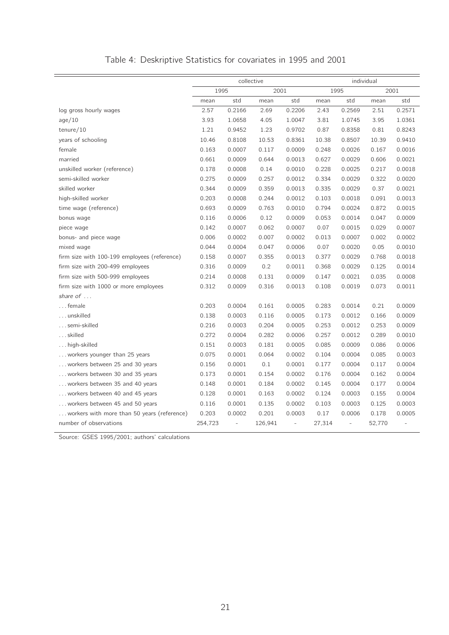### <span id="page-21-0"></span>Table 4: Deskriptive Statistics for covariates in 1995 and 2001

|                                              | collective |                          |         |                          |        | individual |        |        |  |
|----------------------------------------------|------------|--------------------------|---------|--------------------------|--------|------------|--------|--------|--|
|                                              | 1995       |                          | 2001    |                          | 1995   |            |        | 2001   |  |
|                                              | mean       | std                      | mean    | std                      | mean   | std        | mean   | std    |  |
| log gross hourly wages                       | 2.57       | 0.2166                   | 2.69    | 0.2206                   | 2.43   | 0.2569     | 2.51   | 0.2571 |  |
| age/10                                       | 3.93       | 1.0658                   | 4.05    | 1.0047                   | 3.81   | 1.0745     | 3.95   | 1.0361 |  |
| tenure/ $10$                                 | 1.21       | 0.9452                   | 1.23    | 0.9702                   | 0.87   | 0.8358     | 0.81   | 0.8243 |  |
| years of schooling                           | 10.46      | 0.8108                   | 10.53   | 0.8361                   | 10.38  | 0.8507     | 10.39  | 0.9410 |  |
| female                                       | 0.163      | 0.0007                   | 0.117   | 0.0009                   | 0.248  | 0.0026     | 0.167  | 0.0016 |  |
| married                                      | 0.661      | 0.0009                   | 0.644   | 0.0013                   | 0.627  | 0.0029     | 0.606  | 0.0021 |  |
| unskilled worker (reference)                 | 0.178      | 0.0008                   | 0.14    | 0.0010                   | 0.228  | 0.0025     | 0.217  | 0.0018 |  |
| semi-skilled worker                          | 0.275      | 0.0009                   | 0.257   | 0.0012                   | 0.334  | 0.0029     | 0.322  | 0.0020 |  |
| skilled worker                               | 0.344      | 0.0009                   | 0.359   | 0.0013                   | 0.335  | 0.0029     | 0.37   | 0.0021 |  |
| high-skilled worker                          | 0.203      | 0.0008                   | 0.244   | 0.0012                   | 0.103  | 0.0018     | 0.091  | 0.0013 |  |
| time wage (reference)                        | 0.693      | 0.0009                   | 0.763   | 0.0010                   | 0.794  | 0.0024     | 0.872  | 0.0015 |  |
| bonus wage                                   | 0.116      | 0.0006                   | 0.12    | 0.0009                   | 0.053  | 0.0014     | 0.047  | 0.0009 |  |
| piece wage                                   | 0.142      | 0.0007                   | 0.062   | 0.0007                   | 0.07   | 0.0015     | 0.029  | 0.0007 |  |
| bonus- and piece wage                        | 0.006      | 0.0002                   | 0.007   | 0.0002                   | 0.013  | 0.0007     | 0.002  | 0.0002 |  |
| mixed wage                                   | 0.044      | 0.0004                   | 0.047   | 0.0006                   | 0.07   | 0.0020     | 0.05   | 0.0010 |  |
| firm size with 100-199 employees (reference) | 0.158      | 0.0007                   | 0.355   | 0.0013                   | 0.377  | 0.0029     | 0.768  | 0.0018 |  |
| firm size with 200-499 employees             | 0.316      | 0.0009                   | 0.2     | 0.0011                   | 0.368  | 0.0029     | 0.125  | 0.0014 |  |
| firm size with 500-999 employees             | 0.214      | 0.0008                   | 0.131   | 0.0009                   | 0.147  | 0.0021     | 0.035  | 0.0008 |  |
| firm size with 1000 or more employees        | 0.312      | 0.0009                   | 0.316   | 0.0013                   | 0.108  | 0.0019     | 0.073  | 0.0011 |  |
| share of $\dots$                             |            |                          |         |                          |        |            |        |        |  |
| female                                       | 0.203      | 0.0004                   | 0.161   | 0.0005                   | 0.283  | 0.0014     | 0.21   | 0.0009 |  |
| unskilled                                    | 0.138      | 0.0003                   | 0.116   | 0.0005                   | 0.173  | 0.0012     | 0.166  | 0.0009 |  |
| semi-skilled                                 | 0.216      | 0.0003                   | 0.204   | 0.0005                   | 0.253  | 0.0012     | 0.253  | 0.0009 |  |
| skilled                                      | 0.272      | 0.0004                   | 0.282   | 0.0006                   | 0.257  | 0.0012     | 0.289  | 0.0010 |  |
| high-skilled                                 | 0.151      | 0.0003                   | 0.181   | 0.0005                   | 0.085  | 0.0009     | 0.086  | 0.0006 |  |
| workers younger than 25 years                | 0.075      | 0.0001                   | 0.064   | 0.0002                   | 0.104  | 0.0004     | 0.085  | 0.0003 |  |
| workers between 25 and 30 years              | 0.156      | 0.0001                   | 0.1     | 0.0001                   | 0.177  | 0.0004     | 0.117  | 0.0004 |  |
| workers between 30 and 35 years              | 0.173      | 0.0001                   | 0.154   | 0.0002                   | 0.176  | 0.0004     | 0.162  | 0.0004 |  |
| workers between 35 and 40 years              | 0.148      | 0.0001                   | 0.184   | 0.0002                   | 0.145  | 0.0004     | 0.177  | 0.0004 |  |
| workers between 40 and 45 years              | 0.128      | 0.0001                   | 0.163   | 0.0002                   | 0.124  | 0.0003     | 0.155  | 0.0004 |  |
| workers between 45 and 50 years              | 0.116      | 0.0001                   | 0.135   | 0.0002                   | 0.103  | 0.0003     | 0.125  | 0.0003 |  |
| workers with more than 50 years (reference)  | 0.203      | 0.0002                   | 0.201   | 0.0003                   | 0.17   | 0.0006     | 0.178  | 0.0005 |  |
| number of observations                       | 254,723    | $\overline{\phantom{a}}$ | 126,941 | $\overline{\phantom{a}}$ | 27,314 | $\bar{ }$  | 52,770 |        |  |
|                                              |            |                          |         |                          |        |            |        |        |  |

Source: GSES 1995/2001; authors' calculations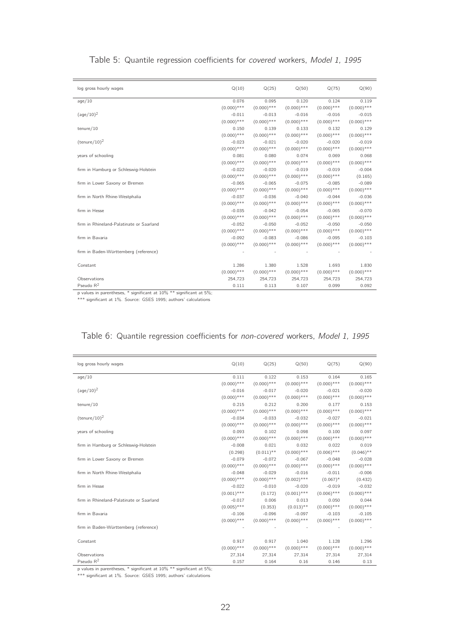<span id="page-22-0"></span>

| log gross hourly wages                   | Q(10)         | Q(25)         | Q(50)         | Q(75)         | Q(90)         |
|------------------------------------------|---------------|---------------|---------------|---------------|---------------|
| aqe/10                                   | 0.076         | 0.095         | 0.120         | 0.124         | 0.119         |
|                                          | $(0.000)$ *** | $(0.000)$ *** | $(0.000)$ *** | $(0.000)$ *** | $(0.000)$ *** |
| $\frac{3e}{10}$ <sup>2</sup>             | $-0.011$      | $-0.013$      | $-0.016$      | $-0.016$      | $-0.015$      |
|                                          | $(0.000)$ *** | $(0.000)$ *** | $(0.000)$ *** | $(0.000)$ *** | $(0.000)$ *** |
| tenure/10                                | 0.150         | 0.139         | 0.133         | 0.132         | 0.129         |
|                                          | $(0.000)$ *** | $(0.000)$ *** | $(0.000)$ *** | $(0.000)$ *** | $(0.000)$ *** |
| $(tenure/10)^2$                          | $-0.023$      | $-0.021$      | $-0.020$      | $-0.020$      | $-0.019$      |
|                                          | $(0.000)$ *** | $(0.000)$ *** | $(0.000)$ *** | $(0.000)$ *** | $(0.000)$ *** |
| years of schooling                       | 0.081         | 0.080         | 0.074         | 0.069         | 0.068         |
|                                          | $(0.000)$ *** | $(0.000)$ *** | $(0.000)$ *** | $(0.000)$ *** | $(0.000)$ *** |
| firm in Hamburg or Schleswig-Holstein    | $-0.022$      | $-0.020$      | $-0.019$      | $-0.019$      | $-0.004$      |
|                                          | $(0.000)$ *** | $(0.000)$ *** | $(0.000)$ *** | $(0.000)$ *** | (0.165)       |
| firm in Lower Saxony or Bremen           | $-0.065$      | $-0.065$      | $-0.075$      | $-0.085$      | $-0.089$      |
|                                          | $(0.000)$ *** | $(0.000)$ *** | $(0.000)$ *** | $(0.000)$ *** | $(0.000)$ *** |
| firm in North Rhine-Westphalia           | $-0.037$      | $-0.036$      | $-0.040$      | $-0.044$      | $-0.036$      |
|                                          | $(0.000)$ *** | $(0.000)$ *** | $(0.000)$ *** | $(0.000)$ *** | $(0.000)$ *** |
| firm in Hesse                            | $-0.035$      | $-0.042$      | $-0.054$      | $-0.065$      | $-0.070$      |
|                                          | $(0.000)$ *** | $(0.000)$ *** | $(0.000)$ *** | $(0.000)$ *** | $(0.000)$ *** |
| firm in Rhineland-Palatinate or Saarland | $-0.052$      | $-0.050$      | $-0.052$      | $-0.050$      | $-0.050$      |
|                                          | $(0.000)$ *** | $(0.000)$ *** | $(0.000)$ *** | $(0.000)$ *** | $(0.000)$ *** |
| firm in Bavaria                          | $-0.092$      | $-0.083$      | $-0.086$      | $-0.095$      | $-0.103$      |
|                                          | $(0.000)$ *** | $(0.000)$ *** | $(0.000)$ *** | $(0.000)$ *** | $(0.000)$ *** |
| firm in Baden-Württemberg (reference)    |               |               |               |               |               |
| Constant                                 | 1.286         | 1.380         | 1.528         | 1.693         | 1.830         |
|                                          | $(0.000)$ *** | $(0.000)$ *** | $(0.000)$ *** | $(0.000)$ *** | $(0.000)$ *** |
| Observations                             | 254,723       | 254,723       | 254,723       | 254.723       | 254.723       |
| Pseudo $R^2$                             | 0.111         | 0.113         | 0.107         | 0.099         | 0.092         |

#### Table 5: Quantile regression coefficients for covered workers, Model 1, 1995

p values in parentheses, \* significant at 10% \*\* significant at 5%;

\*\*\* significant at 1%. Source: GSES 1995; authors' calculations

| log gross hourly wages                   | Q(10)         | Q(25)         | Q(50)         | Q(75)         | Q(90)         |
|------------------------------------------|---------------|---------------|---------------|---------------|---------------|
| age/10                                   | 0.111         | 0.122         | 0.153         | 0.164         | 0.165         |
|                                          | $(0.000)$ *** | $(0.000)$ *** | $(0.000)$ *** | $(0.000)$ *** | $(0.000)$ *** |
| $\frac{1}{(age/10)^2}$                   | $-0.016$      | $-0.017$      | $-0.020$      | $-0.021$      | $-0.020$      |
|                                          | $(0.000)$ *** | $(0.000)$ *** | $(0.000)$ *** | $(0.000)$ *** | $(0.000)$ *** |
| $t$ enure $/10$                          | 0.215         | 0.212         | 0.200         | 0.177         | 0.153         |
|                                          | $(0.000)$ *** | $(0.000)$ *** | $(0.000)$ *** | $(0.000)$ *** | $(0.000)$ *** |
| $(tenure/10)^2$                          | $-0.034$      | $-0.033$      | $-0.032$      | $-0.027$      | $-0.021$      |
|                                          | $(0.000)$ *** | $(0.000)$ *** | $(0.000)$ *** | $(0.000)$ *** | $(0.000)$ *** |
| years of schooling                       | 0.093         | 0.102         | 0.098         | 0.100         | 0.097         |
|                                          | $(0.000)$ *** | $(0.000)$ *** | $(0.000)$ *** | $(0.000)$ *** | $(0.000)$ *** |
| firm in Hamburg or Schleswig-Holstein    | $-0.008$      | 0.021         | 0.032         | 0.022         | 0.019         |
|                                          | (0.298)       | $(0.011)$ **  | $(0.000)$ *** | $(0.006)$ *** | $(0.046)$ **  |
| firm in Lower Saxony or Bremen           | $-0.079$      | $-0.072$      | $-0.067$      | $-0.048$      | $-0.028$      |
|                                          | $(0.000)$ *** | $(0.000)$ *** | $(0.000)$ *** | $(0.000)$ *** | $(0.000)$ *** |
| firm in North Rhine-Westphalia           | $-0.048$      | $-0.029$      | $-0.016$      | $-0.011$      | $-0.006$      |
|                                          | $(0.000)$ *** | $(0.000)$ *** | $(0.002)$ *** | $(0.067)^*$   | (0.432)       |
| firm in Hesse                            | $-0.022$      | $-0.010$      | $-0.020$      | $-0.019$      | $-0.032$      |
|                                          | $(0.001)$ *** | (0.172)       | $(0.001)$ *** | $(0.006)$ *** | $(0.000)$ *** |
| firm in Rhineland-Palatinate or Saarland | $-0.017$      | 0.006         | 0.013         | 0.050         | 0.044         |
|                                          | $(0.005)$ *** | (0.353)       | $(0.013)$ **  | $(0.000)$ *** | $(0.000)$ *** |
| firm in Bavaria                          | $-0.106$      | $-0.096$      | $-0.097$      | $-0.103$      | $-0.105$      |
|                                          | $(0.000)$ *** | $(0.000)$ *** | $(0.000)$ *** | $(0.000)$ *** | $(0.000)$ *** |
| firm in Baden-Württemberg (reference)    |               |               |               |               |               |
|                                          |               |               |               |               |               |
| Constant                                 | 0.917         | 0.917         | 1.040         | 1.128         | 1.296         |
|                                          | $(0.000)$ *** | $(0.000)$ *** | $(0.000)$ *** | $(0.000)$ *** | $(0.000)$ *** |
| Observations                             | 27,314        | 27,314        | 27,314        | 27,314        | 27,314        |
| Pseudo $R^2$                             | 0.157         | 0.164         | 0.16          | 0.146         | 0.13          |

### Table 6: Quantile regression coefficients for non-covered workers, Model 1, 1995

p values in parentheses, \* significant at 10% \*\* significant at 5%;

\*\*\* significant at 1%. Source: GSES 1995; authors' calculations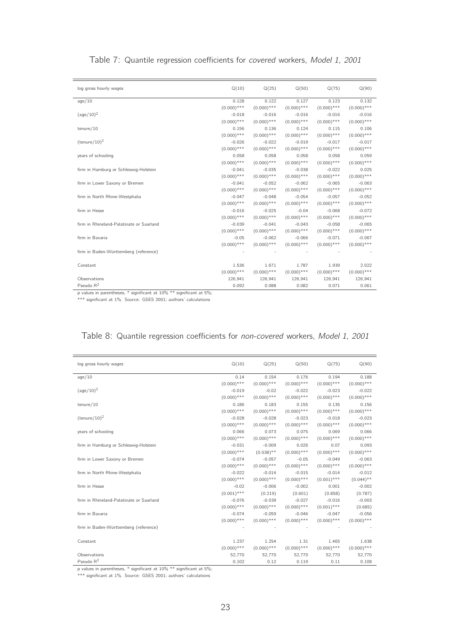| log gross hourly wages                   | Q(10)         | Q(25)         | Q(50)         | Q(75)         | Q(90)         |
|------------------------------------------|---------------|---------------|---------------|---------------|---------------|
| aqe/10                                   | 0.128         | 0.122         | 0.127         | 0.123         | 0.132         |
|                                          | $(0.000)$ *** | $(0.000)$ *** | $(0.000)$ *** | $(0.000)$ *** | $(0.000)$ *** |
| $\frac{3e}{10}$ <sup>2</sup>             | $-0.018$      | $-0.016$      | $-0.016$      | $-0.016$      | $-0.016$      |
|                                          | $(0.000)$ *** | $(0.000)$ *** | $(0.000)$ *** | $(0.000)$ *** | $(0.000)$ *** |
| $t$ enure $/10$                          | 0.156         | 0.136         | 0.124         | 0.115         | 0.106         |
|                                          | $(0.000)$ *** | $(0.000)$ *** | $(0.000)$ *** | $(0.000)$ *** | $(0.000)$ *** |
| $(\text{tenure}/10)^2$                   | $-0.026$      | $-0.022$      | $-0.019$      | $-0.017$      | $-0.017$      |
|                                          | $(0.000)$ *** | $(0.000)$ *** | $(0.000)$ *** | $(0.000)$ *** | $(0.000)$ *** |
| years of schooling                       | 0.058         | 0.058         | 0.058         | 0.058         | 0.059         |
|                                          | $(0.000)$ *** | $(0.000)$ *** | $(0.000)$ *** | $(0.000)$ *** | $(0.000)$ *** |
| firm in Hamburg or Schleswig-Holstein    | $-0.041$      | $-0.035$      | $-0.038$      | $-0.022$      | 0.025         |
|                                          | $(0.000)$ *** | $(0.000)$ *** | $(0.000)$ *** | $(0.000)$ *** | $(0.000)$ *** |
| firm in Lower Saxony or Bremen           | $-0.041$      | $-0.052$      | $-0.062$      | $-0.065$      | $-0.063$      |
|                                          | $(0.000)$ *** | $(0.000)$ *** | $(0.000)$ *** | $(0.000)$ *** | $(0.000)$ *** |
| firm in North Rhine-Westphalia           | $-0.047$      | $-0.048$      | $-0.054$      | $-0.057$      | $-0.052$      |
|                                          | $(0.000)$ *** | $(0.000)$ *** | $(0.000)$ *** | $(0.000)$ *** | $(0.000)$ *** |
| firm in Hesse                            | $-0.016$      | $-0.025$      | $-0.04$       | $-0.068$      | $-0.072$      |
|                                          | $(0.000)$ *** | $(0.000)$ *** | $(0.000)$ *** | $(0.000)$ *** | $(0.000)$ *** |
| firm in Rhineland-Palatinate or Saarland | $-0.039$      | $-0.041$      | $-0.043$      | $-0.058$      | $-0.065$      |
|                                          | $(0.000)$ *** | $(0.000)$ *** | $(0.000)$ *** | $(0.000)$ *** | $(0.000)$ *** |
| firm in Bavaria                          | $-0.05$       | $-0.062$      | $-0.066$      | $-0.071$      | $-0.067$      |
|                                          | $(0.000)$ *** | $(0.000)$ *** | $(0.000)$ *** | $(0.000)$ *** | $(0.000)$ *** |
| firm in Baden-Württemberg (reference)    |               |               |               |               |               |
| Constant                                 | 1.536         | 1.671         | 1.787         | 1.939         | 2.022         |
|                                          | $(0.000)$ *** | $(0.000)$ *** | $(0.000)$ *** | $(0.000)$ *** | $(0.000)$ *** |
| Observations                             | 126,941       | 126,941       | 126,941       | 126,941       | 126,941       |
| Pseudo $R^2$                             | 0.092         | 0.088         | 0.082         | 0.071         | 0.061         |

#### Table 7: Quantile regression coefficients for covered workers, Model 1, 2001

p values in parentheses, \* significant at 10% \*\* significant at 5%;

\*\*\* significant at 1%. Source: GSES 2001; authors' calculations

| log gross hourly wages                   | Q(10)         | Q(25)         | Q(50)         | Q(75)         | Q(90)         |
|------------------------------------------|---------------|---------------|---------------|---------------|---------------|
| age/10                                   | 0.14          | 0.154         | 0.176         | 0.194         | 0.188         |
|                                          | $(0.000)$ *** | $(0.000)$ *** | $(0.000)$ *** | $(0.000)$ *** | $(0.000)$ *** |
| $\frac{1}{(age/10)^2}$                   | $-0.019$      | $-0.02$       | $-0.022$      | $-0.023$      | $-0.022$      |
|                                          | $(0.000)$ *** | $(0.000)$ *** | $(0.000)$ *** | $(0.000)$ *** | $(0.000)$ *** |
| tenure/10                                | 0.186         | 0.183         | 0.155         | 0.135         | 0.156         |
|                                          | $(0.000)$ *** | $(0.000)$ *** | $(0.000)$ *** | $(0.000)$ *** | $(0.000)$ *** |
| $(\text{tenure}/10)^2$                   | $-0.028$      | $-0.028$      | $-0.023$      | $-0.018$      | $-0.023$      |
|                                          | $(0.000)$ *** | $(0.000)$ *** | $(0.000)$ *** | $(0.000)$ *** | $(0.000)$ *** |
| years of schooling                       | 0.066         | 0.073         | 0.075         | 0.069         | 0.066         |
|                                          | $(0.000)$ *** | $(0.000)$ *** | $(0.000)$ *** | $(0.000)$ *** | $(0.000)$ *** |
| firm in Hamburg or Schleswig-Holstein    | $-0.031$      | $-0.009$      | 0.026         | 0.07          | 0.093         |
|                                          | $(0.000)$ *** | $(0.038)$ **  | $(0.000)$ *** | $(0.000)$ *** | $(0.000)$ *** |
| firm in Lower Saxony or Bremen           | $-0.074$      | $-0.057$      | $-0.05$       | $-0.049$      | $-0.063$      |
|                                          | $(0.000)$ *** | $(0.000)$ *** | $(0.000)$ *** | $(0.000)$ *** | $(0.000)$ *** |
| firm in North Rhine-Westphalia           | $-0.022$      | $-0.014$      | $-0.015$      | $-0.014$      | $-0.012$      |
|                                          | $(0.000)$ *** | $(0.000)$ *** | $(0.000)$ *** | $(0.001)$ *** | $(0.044)$ **  |
| firm in Hesse                            | $-0.02$       | $-0.006$      | $-0.002$      | 0.001         | $-0.002$      |
|                                          | $(0.001)$ *** | (0.219)       | (0.601)       | (0.858)       | (0.787)       |
| firm in Rhineland-Palatinate or Saarland | $-0.076$      | $-0.039$      | $-0.027$      | $-0.016$      | $-0.003$      |
|                                          | $(0.000)$ *** | $(0.000)$ *** | $(0.000)$ *** | $(0.001)$ *** | (0.685)       |
| firm in Bavaria                          | $-0.074$      | $-0.059$      | $-0.046$      | $-0.047$      | $-0.056$      |
|                                          | $(0.000)$ *** | $(0.000)$ *** | $(0.000)$ *** | $(0.000)$ *** | $(0.000)$ *** |
| firm in Baden-Württemberg (reference)    |               |               |               |               |               |
|                                          |               |               |               |               |               |
| Constant                                 | 1.237         | 1.254         | 1.31          | 1.465         | 1.638         |
|                                          | $(0.000)$ *** | $(0.000)$ *** | $(0.000)$ *** | $(0.000)$ *** | $(0.000)$ *** |
| Observations                             | 52,770        | 52,770        | 52,770        | 52,770        | 52,770        |
| Pseudo $R^2$                             | 0.102         | 0.12          | 0.119         | 0.11          | 0.108         |

### Table 8: Quantile regression coefficients for non-covered workers, Model 1, 2001

p values in parentheses, \* significant at 10% \*\* significant at 5%;

\*\*\* significant at 1%. Source: GSES 2001; authors' calculations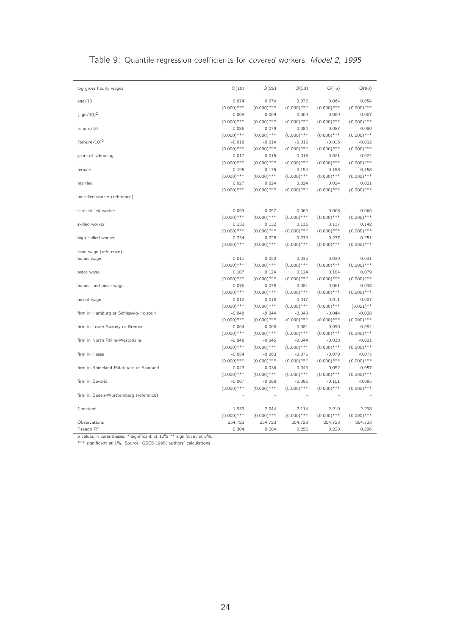| log gross hourly wages                                                    | Q(10)         | Q(25)         | Q(50)         | Q(75)         | Q(90)         |
|---------------------------------------------------------------------------|---------------|---------------|---------------|---------------|---------------|
| age/10                                                                    | 0.074         | 0.074         | 0.072         | 0.064         | 0.054         |
|                                                                           | $(0.000)$ *** | $(0.000)$ *** | $(0.000)$ *** | $(0.000)$ *** | $(0.000)$ *** |
| $\frac{3e}{10}$ <sup>2</sup>                                              | $-0.009$      | $-0.009$      | $-0.009$      | $-0.009$      | $-0.007$      |
|                                                                           | $(0.000)$ *** | $(0.000)$ *** | $(0.000)$ *** | $(0.000)$ *** | $(0.000)$ *** |
| $t$ enure $/10$                                                           | 0.086         | 0.079         | 0.084         | 0.087         | 0.080         |
|                                                                           | $(0.000)$ *** | $(0.000)$ *** | $(0.000)$ *** | $(0.000)$ *** | $(0.000)$ *** |
| $(tenure/10)^2$                                                           | $-0.016$      | $-0.014$      | $-0.015$      | $-0.015$      | $-0.012$      |
|                                                                           | $(0.000)$ *** | $(0.000)$ *** | $(0.000)$ *** | $(0.000)$ *** | $(0.000)$ *** |
| years of schooling                                                        | 0.017         | 0.015         | 0.018         | 0.021         | 0.024         |
|                                                                           | $(0.000)$ *** | $(0.000)$ *** | $(0.000)$ *** | $(0.000)$ *** | $(0.000)$ *** |
| female                                                                    | $-0.195$      | $-0.175$      | $-0.154$      | $-0.158$      | $-0.158$      |
|                                                                           | $(0.000)$ *** | $(0.000)$ *** | $(0.000)$ *** | $(0.000)$ *** | $(0.000)$ *** |
| married                                                                   | 0.027         | 0.024         | 0.024         | 0.024         | 0.021         |
|                                                                           | $(0.000)$ *** | $(0.000)$ *** | $(0.000)$ *** | $(0.000)$ *** | $(0.000)$ *** |
| unskilled worker (reference)                                              |               |               |               |               |               |
| semi-skilled worker                                                       | 0.053         | 0.057         | 0.066         | 0.068         | 0.066         |
|                                                                           | $(0.000)$ *** | $(0.000)$ *** | $(0.000)$ *** | $(0.000)$ *** | $(0.000)$ *** |
| skilled worker                                                            | 0.133         | 0.132         | 0.136         | 0.137         | 0.142         |
|                                                                           | $(0.000)$ *** | $(0.000)$ *** | $(0.000)$ *** | $(0.000)$ *** | $(0.000)$ *** |
| high-skilled worker                                                       | 0.234         | 0.228         | 0.230         | 0.237         | 0.251         |
|                                                                           | $(0.000)$ *** | $(0.000)$ *** | $(0.000)$ *** | $(0.000)$ *** | $(0.000)$ *** |
| time wage (reference)                                                     |               |               |               |               |               |
| bonus wage                                                                | 0.011         | 0.020         | 0.036         | 0.039         | 0.031         |
|                                                                           | $(0.000)$ *** | $(0.000)$ *** | $(0.000)$ *** | $(0.000)$ *** | $(0.000)$ *** |
| piece wage                                                                | 0.107         | 0.124         | 0.124         | 0.104         | 0.079         |
|                                                                           | $(0.000)$ *** | $(0.000)$ *** | $(0.000)$ *** | $(0.000)$ *** | $(0.000)$ *** |
| bonus- and piece wage                                                     | 0.076         | 0.078         | 0.081         | 0.061         | 0.038         |
|                                                                           | $(0.000)$ *** | $(0.000)$ *** | $(0.000)$ *** | $(0.000)$ *** | $(0.000)$ *** |
| mixed wage                                                                | 0.012         | 0.018         | 0.017         | 0.011         | 0.007         |
|                                                                           | $(0.000)$ *** | $(0.000)$ *** | $(0.000)$ *** | $(0.000)$ *** | $(0.021)$ **  |
| firm in Hamburg or Schleswig-Holstein                                     | $-0.048$      | $-0.044$      | $-0.043$      | $-0.044$      | $-0.028$      |
|                                                                           | $(0.000)$ *** | $(0.000)$ *** | $(0.000)$ *** | $(0.000)$ *** | $(0.000)$ *** |
| firm in Lower Saxony or Bremen                                            | $-0.064$      | $-0.068$      | $-0.081$      | $-0.090$      | $-0.094$      |
|                                                                           | $(0.000)$ *** | $(0.000)$ *** | $(0.000)$ *** | $(0.000)$ *** | $(0.000)$ *** |
| firm in North Rhine-Westphalia                                            | $-0.048$      | $-0.045$      | $-0.044$      | $-0.038$      | $-0.021$      |
|                                                                           | $(0.000)$ *** | $(0.000)$ *** | $(0.000)$ *** | $(0.000)$ *** | $(0.000)$ *** |
| firm in Hesse                                                             | $-0.054$      | $-0.063$      | $-0.075$      | $-0.078$      | $-0.075$      |
|                                                                           | $(0.000)$ *** | $(0.000)$ *** | $(0.000)$ *** | $(0.000)$ *** | $(0.000)$ *** |
| firm in Rhineland-Palatinate or Saarland                                  | $-0.043$      | $-0.036$      | $-0.046$      | $-0.052$      | $-0.057$      |
|                                                                           | $(0.000)$ *** | $(0.000)$ *** | $(0.000)$ *** | $(0.000)$ *** | $(0.000)$ *** |
| firm in Bavaria                                                           | $-0.087$      | $-0.088$      | $-0.096$      | $-0.101$      | $-0.095$      |
|                                                                           | $(0.000)$ *** | $(0.000)$ *** | $(0.000)$ *** | $(0.000)$ *** | $(0.000)$ *** |
| firm in Baden-Württemberg (reference)                                     |               |               |               |               |               |
|                                                                           |               |               |               |               |               |
| Constant                                                                  | 1.939         | 2.044         | 2.114         | 2.210         | 2.298         |
|                                                                           | $(0.000)$ *** | $(0.000)$ *** | $(0.000)$ *** | $(0.000)$ *** | $(0.000)$ *** |
| Observations                                                              | 254,723       | 254,723       | 254,723       | 254,723       | 254,723       |
| Pseudo $R^2$                                                              | 0.304         | 0.284         | 0.255         | 0.228         | 0.206         |
| values in parantheons $*$ significant at $10\%$ $**$ significant at $5\%$ |               |               |               |               |               |

### Table 9: Quantile regression coefficients for covered workers, Model 2, 1995

p values in parentheses, \* significant at 10% \*\* significant at 5%;

\*\*\* significant at 1%. Source: GSES 1995; authors' calculations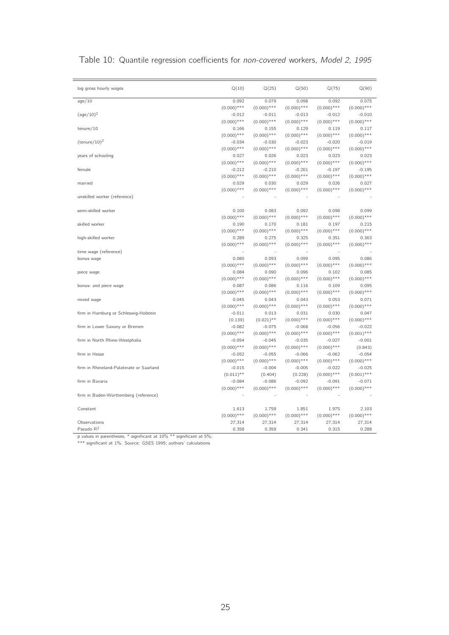| log gross hourly wages                   | Q(10)                   | Q(25)                   | Q(50)                   | Q(75)                   | Q(90)                   |
|------------------------------------------|-------------------------|-------------------------|-------------------------|-------------------------|-------------------------|
| age/10                                   | 0.092                   | 0.079                   | 0.098                   | 0.092                   | 0.075                   |
|                                          | $(0.000)$ ***           | $(0.000)$ ***           | $(0.000)$ ***           | $(0.000)$ ***           | $(0.000)$ ***           |
| $\frac{1}{(age/10)^2}$                   | $-0.012$                | $-0.011$                | $-0.013$                | $-0.012$                | $-0.010$                |
|                                          | $(0.000)$ ***           | $(0.000)$ ***           | $(0.000)$ ***           | $(0.000)$ ***           | $(0.000)$ ***           |
| $t$ enure $/10$                          | 0.166                   | 0.155                   | 0.129                   | 0.119                   | 0.117                   |
|                                          | $(0.000)$ ***           | $(0.000)$ ***           | $(0.000)$ ***           | $(0.000)$ ***           | $(0.000)$ ***           |
| $(\text{tenure}/10)^2$                   | $-0.034$                | $-0.030$                | $-0.023$                | $-0.020$                | $-0.019$                |
|                                          | $(0.000)$ ***           | $(0.000)$ ***           | $(0.000)$ ***           | $(0.000)$ ***           | $(0.000)$ ***           |
| years of schooling                       | 0.027                   | 0.026                   | 0.023                   | 0.023                   | 0.023                   |
|                                          | $(0.000)$ ***           | $(0.000)$ ***           | $(0.000)$ ***           | $(0.000)$ ***           | $(0.000)$ ***           |
| female                                   | $-0.212$                | $-0.210$                | $-0.201$                | $-0.197$                | $-0.195$                |
|                                          | $(0.000)$ ***           | $(0.000)$ ***           | $(0.000)$ ***           | $(0.000)$ ***           | $(0.000)$ ***           |
| married                                  | 0.029                   | 0.030                   | 0.029                   | 0.026                   | 0.027                   |
|                                          | $(0.000)$ ***           | $(0.000)$ ***           | $(0.000)$ ***           | $(0.000)$ ***           | $(0.000)$ ***           |
| unskilled worker (reference)             |                         |                         |                         |                         |                         |
|                                          |                         |                         |                         |                         |                         |
| semi-skilled worker                      | 0.100                   | 0.083                   | 0.092                   | 0.098                   | 0.099                   |
|                                          | $(0.000)$ ***           | $(0.000)$ ***           | $(0.000)$ ***           | $(0.000)$ ***           | $(0.000)$ ***           |
| skilled worker                           | 0.190                   | 0.170                   | 0.181                   | 0.197                   | 0.215                   |
|                                          | $(0.000)$ ***           | $(0.000)$ ***           | $(0.000)$ ***           | $(0.000)$ ***           | $(0.000)$ ***           |
| high-skilled worker                      | 0.289                   | 0.275                   | 0.325                   | 0.351                   | 0.363                   |
|                                          | $(0.000)$ ***           | $(0.000)$ ***           | $(0.000)$ ***           | $(0.000)$ ***           | $(0.000)$ ***           |
|                                          |                         |                         |                         |                         |                         |
| time wage (reference)                    | 0.080                   |                         | 0.099                   | 0.095                   | 0.086                   |
| bonus wage                               |                         | 0.093                   |                         |                         |                         |
|                                          | $(0.000)$ ***           | $(0.000)$ ***           | $(0.000)$ ***           | $(0.000)$ ***           | $(0.000)$ ***           |
| piece wage                               | 0.084                   | 0.090                   | 0.096                   | 0.102                   | 0.085                   |
|                                          | $(0.000)$ ***           | $(0.000)$ ***           | $(0.000)$ ***           | $(0.000)$ ***           | $(0.000)$ ***           |
| bonus- and piece wage                    | 0.087                   | 0.086                   | 0.116                   | 0.109                   | 0.095                   |
|                                          | $(0.000)$ ***           | $(0.000)$ ***           | $(0.000)$ ***           | $(0.000)$ ***           | $(0.000)$ ***           |
| mixed wage                               | 0.045                   | 0.043                   | 0.043                   | 0.053                   | 0.071                   |
|                                          | $(0.000)$ ***           | $(0.000)$ ***           | $(0.000)$ ***           | $(0.000)$ ***           | $(0.000)$ ***           |
| firm in Hamburg or Schleswig-Holstein    | $-0.011$                | 0.013                   | 0.031                   | 0.030                   | 0.047                   |
|                                          | (0.139)                 | $(0.021)$ **            | $(0.000)$ ***           | $(0.000)$ ***           | $(0.000)$ ***           |
| firm in Lower Saxony or Bremen           | $-0.082$                | $-0.075$                | $-0.068$                | $-0.056$                | $-0.022$                |
|                                          | $(0.000)$ ***           | $(0.000)$ ***           | $(0.000)$ ***           | $(0.000)$ ***           | $(0.001)$ ***           |
| firm in North Rhine-Westphalia           | $-0.054$                | $-0.045$                | $-0.035$                | $-0.027$                | $-0.001$                |
|                                          | $(0.000)$ ***           | $(0.000)$ ***           | $(0.000)$ ***           | $(0.000)$ ***           | (0.843)                 |
| firm in Hesse                            | $-0.052$                | $-0.055$                | $-0.066$                | $-0.062$                | $-0.054$                |
|                                          | $(0.000)$ ***           | $(0.000)$ ***           | $(0.000)$ ***           | $(0.000)$ ***           | $(0.000)$ ***           |
| firm in Rhineland-Palatinate or Saarland | $-0.015$                | $-0.004$                | $-0.005$                | $-0.022$                | $-0.025$                |
|                                          | $(0.011)$ **            | (0.404)                 | (0.228)                 | $(0.000)$ ***           | $(0.001)$ ***           |
| firm in Bavaria                          | $-0.084$                | $-0.086$                | $-0.092$                | $-0.091$                | $-0.071$                |
|                                          | $(0.000)$ ***           | $(0.000)$ ***           | $(0.000)$ ***           | $(0.000)$ ***           | $(0.000)$ ***           |
| firm in Baden-Württemberg (reference)    |                         |                         |                         |                         |                         |
|                                          | 1.613                   | 1.759                   | 1.851                   | 1.975                   | 2.103                   |
|                                          |                         |                         |                         |                         |                         |
|                                          |                         |                         |                         |                         |                         |
| Constant<br>Observations                 | $(0.000)$ ***<br>27,314 | $(0.000)$ ***<br>27,314 | $(0.000)$ ***<br>27,314 | $(0.000)$ ***<br>27,314 | $(0.000)$ ***<br>27,314 |

|  |  |  |  |  | Table 10: Quantile regression coefficients for non-covered workers, Model 2, 1995 |  |  |  |
|--|--|--|--|--|-----------------------------------------------------------------------------------|--|--|--|
|--|--|--|--|--|-----------------------------------------------------------------------------------|--|--|--|

p values in parentheses, \* significant at 10% \*\* significant at 5%;

\*\*\* significant at 1%. Source: GSES 1995; authors' calculations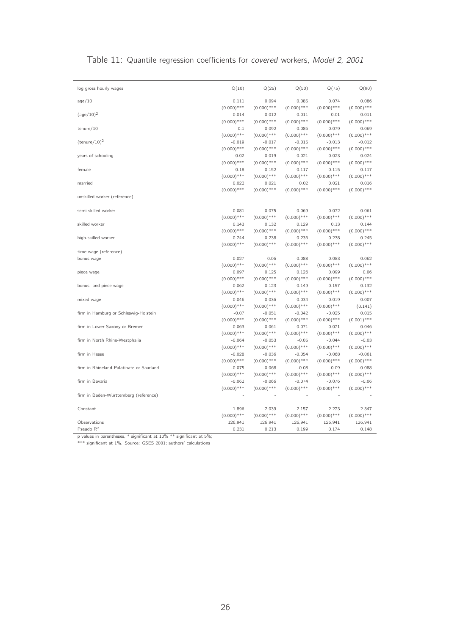| log gross hourly wages                                             | Q(10)                    | Q(25)                     | Q(50)                     | Q(75)                     | Q(90)            |
|--------------------------------------------------------------------|--------------------------|---------------------------|---------------------------|---------------------------|------------------|
| age/10                                                             | 0.111                    | 0.094                     | 0.085                     | 0.074                     | 0.086            |
|                                                                    | $(0.000)$ ***            | $(0.000)$ ***             | $(0.000)$ ***             | $(0.000)$ ***             | $(0.000)$ ***    |
| $(age/10)^2$                                                       | $-0.014$                 | $-0.012$                  | $-0.011$                  | $-0.01$                   | $-0.011$         |
|                                                                    | $(0.000)$ ***            | $(0.000)$ ***             | $(0.000)$ ***             | $(0.000)$ ***             | $(0.000)$ ***    |
| $t$ enure $/10$                                                    | 0.1                      | 0.092                     | 0.086                     | 0.079                     | 0.069            |
|                                                                    | $(0.000)$ ***            | $(0.000)$ ***             | $(0.000)$ ***             | $(0.000)$ ***             | $(0.000)$ ***    |
| $(\text{tenure}/10)^2$                                             | $-0.019$                 | $-0.017$                  | $-0.015$                  | $-0.013$                  | $-0.012$         |
|                                                                    | $(0.000)$ ***            | $(0.000)$ ***             | $(0.000)$ ***             | $(0.000)$ ***             | $(0.000)$ ***    |
| years of schooling                                                 | 0.02                     | 0.019                     | 0.021                     | 0.023                     | 0.024            |
|                                                                    | $(0.000)$ ***            | $(0.000)$ ***             | $(0.000)$ ***             | $(0.000)$ ***             | $(0.000)$ ***    |
| female                                                             | $-0.18$                  | $-0.152$                  | $-0.117$                  | $-0.115$                  | $-0.117$         |
|                                                                    | $(0.000)$ ***            | $(0.000)$ ***             | $(0.000)$ ***             | $(0.000)$ ***             | $(0.000)$ ***    |
| married                                                            | 0.022                    | 0.021                     | 0.02                      | 0.021                     | 0.016            |
|                                                                    | $(0.000)$ ***            | $(0.000)$ ***             | $(0.000)$ ***             | $(0.000)$ ***             | $(0.000)$ ***    |
| unskilled worker (reference)                                       |                          |                           |                           |                           |                  |
|                                                                    |                          |                           |                           |                           |                  |
| semi-skilled worker                                                | 0.081                    | 0.075                     | 0.069                     | 0.072                     | 0.061            |
|                                                                    | $(0.000)$ ***            | $(0.000)$ ***             | $(0.000)$ ***             | $(0.000)$ ***             | $(0.000)$ ***    |
| skilled worker                                                     | 0.143                    | 0.132                     | 0.129                     | 0.13                      | 0.144            |
|                                                                    | $(0.000)$ ***            | $(0.000)$ ***             | $(0.000)$ ***             | $(0.000)$ ***             | $(0.000)$ ***    |
| high-skilled worker                                                | 0.244                    | 0.238                     | 0.236                     | 0.238                     | 0.245            |
|                                                                    | $(0.000)$ ***            | $(0.000)$ ***             | $(0.000)$ ***             | $(0.000)$ ***             | $(0.000)$ ***    |
| time wage (reference)                                              |                          |                           |                           |                           |                  |
| bonus wage                                                         | 0.027                    | 0.06                      | 0.088                     | 0.083                     | 0.062            |
|                                                                    | $(0.000)$ ***            | $(0.000)$ ***             | $(0.000)$ ***             | $(0.000)$ ***             | $(0.000)$ ***    |
| piece wage                                                         | 0.097                    | 0.125                     | 0.126                     | 0.099                     | 0.06             |
|                                                                    | $(0.000)$ ***            | $(0.000)$ ***             | $(0.000)$ ***             | $(0.000)$ ***             | $(0.000)$ ***    |
| bonus- and piece wage                                              | 0.062                    | 0.123                     | 0.149                     | 0.157                     | 0.132            |
|                                                                    | $(0.000)$ ***            | $(0.000)$ ***             | $(0.000)$ ***             | $(0.000)$ ***             | $(0.000)$ ***    |
| mixed wage                                                         | 0.046<br>$(0.000)$ ***   | 0.036<br>$(0.000)$ ***    | 0.034<br>$(0.000)$ ***    | 0.019<br>$(0.000)$ ***    | $-0.007$         |
|                                                                    |                          |                           |                           |                           | (0.141)<br>0.015 |
| firm in Hamburg or Schleswig-Holstein                              | $-0.07$<br>$(0.000)$ *** | $-0.051$<br>$(0.000)$ *** | $-0.042$<br>$(0.000)$ *** | $-0.025$<br>$(0.000)$ *** | $(0.001)$ ***    |
| firm in Lower Saxony or Bremen                                     | $-0.063$                 | $-0.061$                  | $-0.071$                  | $-0.071$                  | $-0.046$         |
|                                                                    | $(0.000)$ ***            | $(0.000)$ ***             | $(0.000)$ ***             | $(0.000)$ ***             | $(0.000)$ ***    |
| firm in North Rhine-Westphalia                                     | $-0.064$                 | $-0.053$                  | $-0.05$                   | $-0.044$                  | $-0.03$          |
|                                                                    | $(0.000)$ ***            | $(0.000)$ ***             | $(0.000)$ ***             | $(0.000)$ ***             | $(0.000)$ ***    |
| firm in Hesse                                                      | $-0.028$                 | $-0.036$                  | $-0.054$                  | $-0.068$                  | $-0.061$         |
|                                                                    | $(0.000)$ ***            | $(0.000)$ ***             | $(0.000)$ ***             | $(0.000)$ ***             | $(0.000)$ ***    |
| firm in Rhineland-Palatinate or Saarland                           | $-0.075$                 | $-0.068$                  | $-0.08$                   | $-0.09$                   | $-0.088$         |
|                                                                    | $(0.000)$ ***            | $(0.000)$ ***             | $(0.000)$ ***             | $(0.000)$ ***             | $(0.000)$ ***    |
| firm in Bavaria                                                    | $-0.062$                 | $-0.066$                  | $-0.074$                  | $-0.076$                  | $-0.06$          |
|                                                                    | $(0.000)$ ***            | $(0.000)$ ***             | $(0.000)$ ***             | $(0.000)$ ***             | $(0.000)$ ***    |
| firm in Baden-Württemberg (reference)                              |                          |                           |                           |                           |                  |
|                                                                    |                          |                           |                           |                           |                  |
| Constant                                                           | 1.896                    | 2.039                     | 2.157                     | 2.273                     | 2.347            |
|                                                                    | $(0.000)$ ***            | $(0.000)$ ***             | $(0.000)$ ***             | $(0.000)$ ***             | $(0.000)$ ***    |
| Observations                                                       | 126,941                  | 126,941                   | 126,941                   | 126,941                   | 126,941          |
| Pseudo $R^2$                                                       | 0.231                    | 0.213                     | 0.199                     | 0.174                     | 0.148            |
| n values in parentheses * significant at 10% ** significant at 5%. |                          |                           |                           |                           |                  |

### Table 11: Quantile regression coefficients for covered workers, Model 2, 2001

p values in parentheses, \* significant at 10% \*\* significant at 5%;

\*\*\* significant at 1%. Source: GSES 2001; authors' calculations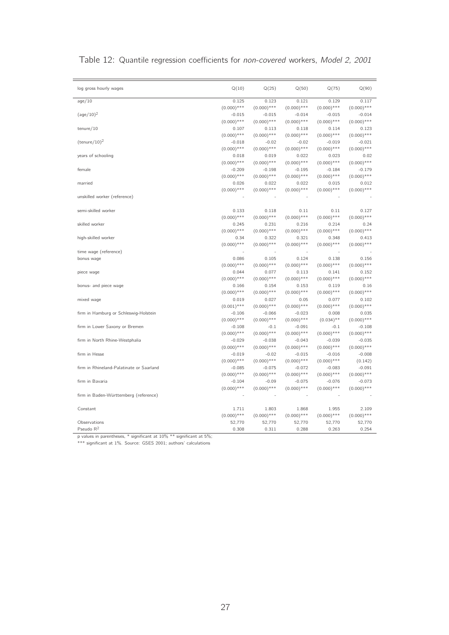| log gross hourly wages                                             | Q(10)         | Q(25)         | Q(50)         | Q(75)         | Q(90)         |
|--------------------------------------------------------------------|---------------|---------------|---------------|---------------|---------------|
| age/10                                                             | 0.125         | 0.123         | 0.121         | 0.129         | 0.117         |
|                                                                    | $(0.000)$ *** | $(0.000)$ *** | $(0.000)$ *** | $(0.000)$ *** | $(0.000)$ *** |
| $\frac{1}{(age/10)^2}$                                             | $-0.015$      | $-0.015$      | $-0.014$      | $-0.015$      | $-0.014$      |
|                                                                    | $(0.000)$ *** | $(0.000)$ *** | $(0.000)$ *** | $(0.000)$ *** | $(0.000)$ *** |
| $t$ enure $/10$                                                    | 0.107         | 0.113         | 0.118         | 0.114         | 0.123         |
|                                                                    | $(0.000)$ *** | $(0.000)$ *** | $(0.000)$ *** | $(0.000)$ *** | $(0.000)$ *** |
| $(\text{tenure}/10)^2$                                             | $-0.018$      | $-0.02$       | $-0.02$       | $-0.019$      | $-0.021$      |
|                                                                    | $(0.000)$ *** | $(0.000)$ *** | $(0.000)$ *** | $(0.000)$ *** | $(0.000)$ *** |
| years of schooling                                                 | 0.018         | 0.019         | 0.022         | 0.023         | 0.02          |
|                                                                    | $(0.000)$ *** | $(0.000)$ *** | $(0.000)$ *** | $(0.000)$ *** | $(0.000)$ *** |
| female                                                             | $-0.209$      | $-0.198$      | $-0.195$      | $-0.184$      | $-0.179$      |
|                                                                    | $(0.000)$ *** | $(0.000)$ *** | $(0.000)$ *** | $(0.000)$ *** | $(0.000)$ *** |
| married                                                            | 0.026         | 0.022         | 0.022         | 0.015         | 0.012         |
|                                                                    | $(0.000)$ *** | $(0.000)$ *** | $(0.000)$ *** | $(0.000)$ *** | $(0.000)$ *** |
| unskilled worker (reference)                                       |               |               |               |               |               |
| semi-skilled worker                                                | 0.133         | 0.118         | 0.11          | 0.11          | 0.127         |
|                                                                    | $(0.000)$ *** | $(0.000)$ *** | $(0.000)$ *** | $(0.000)$ *** | $(0.000)$ *** |
| skilled worker                                                     | 0.245         | 0.231         | 0.216         | 0.214         | 0.24          |
|                                                                    | $(0.000)$ *** | $(0.000)$ *** | $(0.000)$ *** | $(0.000)$ *** | $(0.000)$ *** |
| high-skilled worker                                                | 0.34          | 0.322         | 0.321         | 0.348         | 0.413         |
|                                                                    | $(0.000)$ *** | $(0.000)$ *** | $(0.000)$ *** | $(0.000)$ *** | $(0.000)$ *** |
| time wage (reference)                                              |               |               |               |               |               |
| bonus wage                                                         | 0.086         | 0.105         | 0.124         | 0.138         | 0.156         |
|                                                                    | $(0.000)$ *** | $(0.000)$ *** | $(0.000)$ *** | $(0.000)$ *** | $(0.000)$ *** |
| piece wage                                                         | 0.044         | 0.077         | 0.113         | 0.141         | 0.152         |
|                                                                    | $(0.000)$ *** | $(0.000)$ *** | $(0.000)$ *** | $(0.000)$ *** | $(0.000)$ *** |
| bonus- and piece wage                                              | 0.166         | 0.154         | 0.153         | 0.119         | 0.16          |
|                                                                    | $(0.000)$ *** | $(0.000)$ *** | $(0.000)$ *** | $(0.000)$ *** | $(0.000)$ *** |
| mixed wage                                                         | 0.019         | 0.027         | 0.05          | 0.077         | 0.102         |
|                                                                    | $(0.001)$ *** | $(0.000)$ *** | $(0.000)$ *** | $(0.000)$ *** | $(0.000)$ *** |
| firm in Hamburg or Schleswig-Holstein                              | $-0.106$      | $-0.066$      | $-0.023$      | 0.008         | 0.035         |
|                                                                    | $(0.000)$ *** | $(0.000)$ *** | $(0.000)$ *** | $(0.034)$ **  | $(0.000)$ *** |
| firm in Lower Saxony or Bremen                                     | $-0.108$      | $-0.1$        | $-0.091$      | $-0.1$        | $-0.108$      |
|                                                                    | $(0.000)$ *** | $(0.000)$ *** | $(0.000)$ *** | $(0.000)$ *** | $(0.000)$ *** |
| firm in North Rhine-Westphalia                                     | $-0.029$      | $-0.038$      | $-0.043$      | $-0.039$      | $-0.035$      |
|                                                                    | $(0.000)$ *** | $(0.000)$ *** | $(0.000)$ *** | $(0.000)$ *** | $(0.000)$ *** |
| firm in Hesse                                                      | $-0.019$      | $-0.02$       | $-0.015$      | $-0.016$      | $-0.008$      |
|                                                                    | $(0.000)$ *** | $(0.000)$ *** | $(0.000)$ *** | $(0.000)$ *** | (0.142)       |
| firm in Rhineland-Palatinate or Saarland                           | $-0.085$      | $-0.075$      | $-0.072$      | $-0.083$      | $-0.091$      |
|                                                                    | $(0.000)$ *** | $(0.000)$ *** | $(0.000)$ *** | $(0.000)$ *** | $(0.000)$ *** |
| firm in Bavaria                                                    | $-0.104$      | $-0.09$       | $-0.075$      | $-0.076$      | $-0.073$      |
|                                                                    | $(0.000)$ *** | $(0.000)$ *** | $(0.000)$ *** | $(0.000)$ *** | $(0.000)$ *** |
| firm in Baden-Württemberg (reference)                              |               |               |               |               |               |
|                                                                    |               |               |               |               |               |
| Constant                                                           | 1.711         | 1.803         | 1.868         | 1.955         | 2.109         |
|                                                                    | $(0.000)$ *** | $(0.000)$ *** | $(0.000)$ *** | $(0.000)$ *** | $(0.000)$ *** |
| Observations                                                       | 52,770        | 52,770        | 52,770        | 52,770        | 52,770        |
| Pseudo $R^2$                                                       | 0.308         | 0.311         | 0.288         | 0.263         | 0.254         |
| n values in parentheses * significant at 10% ** significant at 5%. |               |               |               |               |               |

|  |  |  |  |  | Table 12: Quantile regression coefficients for non-covered workers, Model 2, 2001 |  |  |  |  |
|--|--|--|--|--|-----------------------------------------------------------------------------------|--|--|--|--|
|--|--|--|--|--|-----------------------------------------------------------------------------------|--|--|--|--|

p values in parentheses, \* significant at 10% \*\* significant at 5%;

\*\*\* significant at 1%. Source: GSES 2001; authors' calculations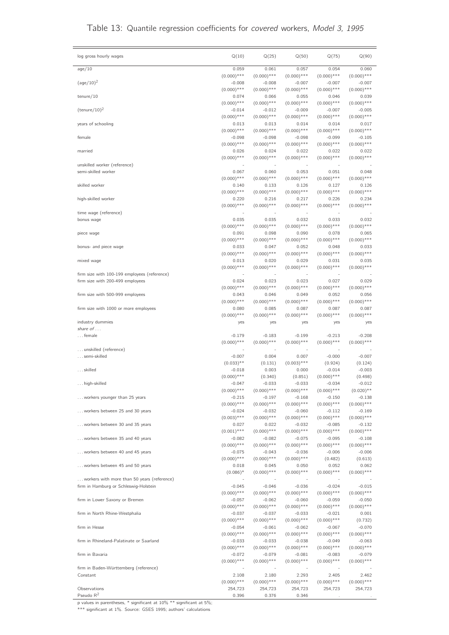### Table 13: Quantile regression coefficients for covered workers, Model 3, 1995

| log gross hourly wages                       | Q(10)                     | Q(25)                     | Q(50)                     | Q(75)                     | Q(90)                     |
|----------------------------------------------|---------------------------|---------------------------|---------------------------|---------------------------|---------------------------|
| age/10                                       | 0.059                     | 0.061                     | 0.057                     | 0.054                     | 0.060                     |
|                                              | $(0.000)$ ***             | $(0.000)$ ***             | $(0.000)$ ***             | $(0.000)$ ***             | $(0.000)$ ***             |
| $(age/10)^2$                                 | $-0.008$                  | $-0.008$<br>$(0.000)$ *** | $-0.007$                  | $-0.007$                  | $-0.007$                  |
| tenure/10                                    | $(0.000)$ ***<br>0.074    | 0.066                     | $(0.000)$ ***<br>0.055    | $(0.000)$ ***<br>0.046    | $(0.000)$ ***<br>0.039    |
|                                              | $(0.000)$ ***             | $(0.000)$ ***             | $(0.000)$ ***             | $(0.000)$ ***             | $(0.000)$ ***             |
| $(\text{tenure}/10)^2$                       | $-0.014$                  | $-0.012$                  | $-0.009$                  | $-0.007$                  | $-0.005$                  |
|                                              | $(0.000)$ ***             | $(0.000)$ ***             | $(0.000)$ ***             | $(0.000)$ ***             | $(0.000)$ ***             |
| years of schooling                           | 0.013                     | 0.013                     | 0.014                     | 0.014                     | 0.017                     |
| female                                       | $(0.000)$ ***<br>$-0.098$ | $(0.000)$ ***<br>$-0.098$ | $(0.000)$ ***<br>$-0.098$ | $(0.000)$ ***<br>$-0.099$ | $(0.000)$ ***<br>$-0.105$ |
|                                              | $(0.000)$ ***             | $(0.000)$ ***             | $(0.000)$ ***             | $(0.000)$ ***             | $(0.000)$ ***             |
| married                                      | 0.026                     | 0.024                     | 0.022                     | 0.022                     | 0.022                     |
|                                              | $(0.000)$ ***             | $(0.000)$ ***             | $(0.000)$ ***             | $(0.000)$ ***             | $(0.000)$ ***             |
| unskilled worker (reference)                 |                           |                           |                           |                           |                           |
| semi-skilled worker                          | 0.067                     | 0.060                     | 0.053                     | 0.051                     | 0.048                     |
| skilled worker                               | $(0.000)$ ***<br>0.140    | $(0.000)$ ***<br>0.133    | $(0.000)$ ***<br>0.126    | $(0.000)$ ***<br>0.127    | $(0.000)$ ***<br>0.126    |
|                                              | $(0.000)$ ***             | $(0.000)$ ***             | $(0.000)$ ***             | $(0.000)$ ***             | $(0.000)$ ***             |
| high-skilled worker                          | 0.220                     | 0.216                     | 0.217                     | 0.226                     | 0.234                     |
|                                              | $(0.000)$ ***             | $(0.000)$ ***             | $(0.000)$ ***             | $(0.000)$ ***             | $(0.000)$ ***             |
| time wage (reference)                        |                           | $\overline{\phantom{a}}$  | $\overline{\phantom{a}}$  | $\overline{\phantom{a}}$  |                           |
| bonus wage                                   | 0.035                     | 0.035                     | 0.032                     | 0.033                     | 0.032                     |
|                                              | $(0.000)$ ***             | $(0.000)$ ***             | $(0.000)$ ***             | $(0.000)$ ***             | $(0.000)$ ***             |
| piece wage                                   | 0.091<br>$(0.000)$ ***    | 0.098<br>$(0.000)$ ***    | 0.090<br>$(0.000)$ ***    | 0.078<br>$(0.000)$ ***    | 0.065<br>$(0.000)$ ***    |
| bonus- and piece wage                        | 0.033                     | 0.047                     | 0.052                     | 0.048                     | 0.033                     |
|                                              | $(0.000)$ ***             | $(0.000)$ ***             | $(0.000)$ ***             | $(0.000)$ ***             | $(0.000)$ ***             |
| mixed wage                                   | 0.013                     | 0.020                     | 0.029                     | 0.031                     | 0.035                     |
|                                              | $(0.000)$ ***             | $(0.000)$ ***             | $(0.000)$ ***             | $(0.000)$ ***             | $(0.000)$ ***             |
| firm size with 100-199 employees (reference) |                           | $\overline{a}$            |                           |                           |                           |
| firm size with 200-499 employees             | 0.024                     | 0.023                     | 0.023                     | 0.027                     | 0.029                     |
| firm size with 500-999 employees             | $(0.000)$ ***<br>0.043    | $(0.000)$ ***<br>0.046    | $(0.000)$ ***<br>0.049    | $(0.000)$ ***<br>0.052    | $(0.000)$ ***<br>0.056    |
|                                              | $(0.000)$ ***             | $(0.000)$ ***             | $(0.000)$ ***             | $(0.000)$ ***             | $(0.000)$ ***             |
| firm size with 1000 or more employees        | 0.080                     | 0.085                     | 0.087                     | 0.087                     | 0.087                     |
|                                              | $(0.000)$ ***             | $(0.000)$ ***             | $(0.000)$ ***             | $(0.000)$ ***             | $(0.000)$ ***             |
| industry dummies                             | yes                       | yes                       | yes                       | yes                       | yes                       |
| share of $\dots$                             |                           |                           |                           |                           |                           |
| female                                       | $-0.179$<br>$(0.000)$ *** | $-0.183$<br>$(0.000)$ *** | $-0.199$<br>$(0.000)$ *** | $-0.213$<br>$(0.000)$ *** | $-0.208$<br>$(0.000)$ *** |
| unskilled (reference)                        |                           |                           |                           |                           |                           |
| semi-skilled                                 | $-0.007$                  | 0.004                     | 0.007                     | $-0.000$                  | $-0.007$                  |
|                                              | $(0.033)$ **              | (0.131)                   | $(0.003)$ ***             | (0.924)                   | (0.124)                   |
| skilled                                      | $-0.018$                  | 0.003                     | 0.000                     | $-0.014$                  | $-0.003$                  |
|                                              | $(0.000)$ ***             | (0.340)                   | (0.851)                   | $(0.000)$ ***             | (0.498)                   |
| high-skilled                                 | $-0.047$                  | $-0.033$                  | $-0.033$                  | $-0.034$                  | $-0.012$                  |
| workers younger than 25 years                | $(0.000)$ ***<br>$-0.215$ | $(0.000)$ ***<br>$-0.197$ | $(0.000)$ ***<br>$-0.168$ | $(0.000)$ ***<br>$-0.150$ | $(0.020)$ **<br>$-0.138$  |
|                                              | $(0.000)$ ***             | $(0.000)$ ***             | $(0.000)$ ***             | $(0.000)$ ***             | $(0.000)$ ***             |
| workers between 25 and 30 years              | $-0.024$                  | $-0.032$                  | $-0.060$                  | $-0.112$                  | $-0.169$                  |
|                                              | $(0.003)$ ***             | $(0.000)$ ***             | $(0.000)$ ***             | $(0.000)$ ***             | $(0.000)$ ***             |
| workers between 30 and 35 years              | 0.027                     | 0.022                     | $-0.032$                  | $-0.085$                  | $-0.132$                  |
|                                              | $(0.001)$ ***             | $(0.000)$ ***             | $(0.000)$ ***             | $(0.000)$ ***             | $(0.000)$ ***             |
| workers between 35 and 40 years              | $-0.082$<br>$(0.000)$ *** | $-0.082$<br>$(0.000)$ *** | $-0.075$<br>$(0.000)$ *** | $-0.095$<br>$(0.000)$ *** | $-0.108$<br>$(0.000)$ *** |
| workers between 40 and 45 years              | $-0.075$                  | $-0.043$                  | $-0.036$                  | $-0.006$                  | $-0.006$                  |
|                                              | $(0.000)$ ***             | $(0.000)$ ***             | $(0.000)$ ***             | (0.482)                   | (0.613)                   |
| workers between 45 and 50 years              | 0.018                     | 0.045                     | 0.050                     | 0.052                     | 0.062                     |
|                                              | $(0.086)^*$               | $(0.000)$ ***             | $(0.000)$ ***             | $(0.000)$ ***             | $(0.000)$ ***             |
| workers with more than 50 years (reference)  |                           |                           |                           |                           |                           |
| firm in Hamburg or Schleswig-Holstein        | $-0.045$<br>$(0.000)$ *** | $-0.046$<br>$(0.000)$ *** | $-0.036$<br>$(0.000)$ *** | $-0.024$<br>$(0.000)$ *** | $-0.015$<br>$(0.000)$ *** |
| firm in Lower Saxony or Bremen               | $-0.057$                  | $-0.062$                  | $-0.060$                  | $-0.059$                  | $-0.050$                  |
|                                              | $(0.000)$ ***             | $(0.000)$ ***             | $(0.000)$ ***             | $(0.000)$ ***             | $(0.000)$ ***             |
| firm in North Rhine-Westphalia               | $-0.037$                  | $-0.037$                  | $-0.033$                  | $-0.021$                  | 0.001                     |
|                                              | $(0.000)$ ***             | $(0.000)$ ***             | $(0.000)$ ***             | $(0.000)$ ***             | (0.732)                   |
| firm in Hesse                                | $-0.054$                  | $-0.061$                  | $-0.062$                  | $-0.067$                  | $-0.070$                  |
|                                              | $(0.000)$ ***             | $(0.000)$ ***             | $(0.000)$ ***             | $(0.000)$ ***             | $(0.000)$ ***             |
| firm in Rhineland-Palatinate or Saarland     | $-0.033$<br>$(0.000)$ *** | $-0.033$<br>$(0.000)$ *** | $-0.038$<br>$(0.000)$ *** | $-0.049$<br>$(0.000)$ *** | $-0.063$<br>$(0.000)$ *** |
| firm in Bavaria                              | $-0.072$                  | $-0.079$                  | $-0.081$                  | $-0.083$                  | $-0.079$                  |
|                                              | $(0.000)$ ***             | $(0.000)$ ***             | $(0.000)$ ***             | $(0.000)$ ***             | $(0.000)$ ***             |
| firm in Baden-Württemberg (reference)        | $\overline{\phantom{a}}$  | $\overline{a}$            | $\overline{\phantom{a}}$  | $\overline{\phantom{a}}$  |                           |
| Constant                                     | 2.108                     | 2.180                     | 2.293                     | 2.405                     | 2.462                     |
|                                              | $(0.000)$ ***             | $(0.000)$ ***             | $(0.000)$ ***             | $(0.000)$ ***             | $(0.000)$ ***             |
| Observations<br>Pseudo $R^2$                 | 254,723<br>0.396          | 254,723<br>0.376          | 254,723<br>0.346          | 254,723                   | 254,723                   |
|                                              |                           |                           |                           |                           |                           |

p values in parentheses, \* significant at 10% \*\* significant at 5%;

\*\*\* significant at 1%. Source: GSES 1995; authors' calculations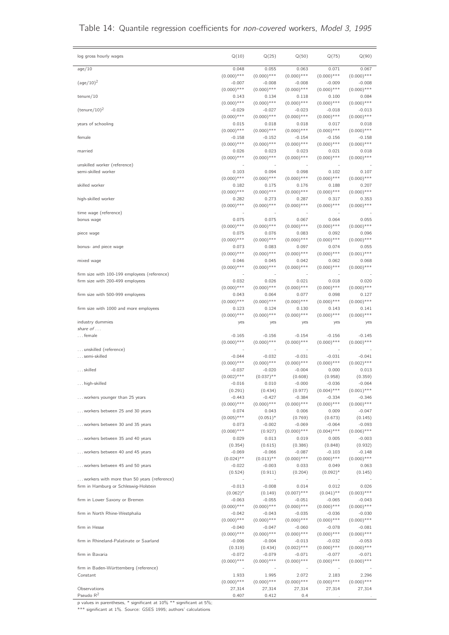### Table 14: Quantile regression coefficients for non-covered workers, Model 3, 1995

| log gross hourly wages                       | Q(10)                                     | Q(25)                                     | Q(50)                           | Q(75)                                     | Q(90)                     |
|----------------------------------------------|-------------------------------------------|-------------------------------------------|---------------------------------|-------------------------------------------|---------------------------|
| age/10                                       | 0.048                                     | 0.055                                     | 0.063                           | 0.071                                     | 0.067                     |
|                                              | $(0.000)$ ***                             | $(0.000)$ ***                             | $(0.000)$ ***                   | $(0.000)$ ***                             | $(0.000)$ ***             |
| $(age/10)^2$                                 | $-0.007$                                  | $-0.008$                                  | $-0.008$                        | $-0.009$                                  | $-0.008$                  |
| tenure/10                                    | $(0.000)$ ***<br>0.143                    | $(0.000)$ ***<br>0.134                    | $(0.000)$ ***<br>0.118          | $(0.000)$ ***<br>0.100                    | $(0.000)$ ***<br>0.084    |
|                                              | $(0.000)$ ***                             | $(0.000)$ ***                             | $(0.000)$ ***                   | $(0.000)$ ***                             | $(0.000)$ ***             |
| $(\text{tenure}/10)^2$                       | $-0.029$                                  | $-0.027$                                  | $-0.023$                        | $-0.018$                                  | $-0.013$                  |
|                                              | $(0.000)$ ***                             | $(0.000)$ ***                             | $(0.000)$ ***                   | $(0.000)$ ***                             | $(0.000)$ ***             |
| years of schooling                           | 0.015                                     | 0.018                                     | 0.018                           | 0.017                                     | 0.018                     |
| female                                       | $(0.000)$ ***<br>$-0.158$                 | $(0.000)$ ***<br>$-0.152$                 | $(0.000)$ ***<br>$-0.154$       | $(0.000)$ ***<br>$-0.156$                 | $(0.000)$ ***<br>$-0.158$ |
|                                              | $(0.000)$ ***                             | $(0.000)$ ***                             | $(0.000)$ ***                   | $(0.000)$ ***                             | $(0.000)$ ***             |
| married                                      | 0.026                                     | 0.023                                     | 0.023                           | 0.021                                     | 0.018                     |
|                                              | $(0.000)$ ***                             | $(0.000)$ ***                             | $(0.000)$ ***                   | $(0.000)$ ***                             | $(0.000)$ ***             |
| unskilled worker (reference)                 |                                           |                                           |                                 |                                           |                           |
| semi-skilled worker                          | 0.103                                     | 0.094                                     | 0.098                           | 0.102                                     | 0.107                     |
| skilled worker                               | $(0.000)$ ***<br>0.182                    | $(0.000)$ ***<br>0.175                    | $(0.000)$ ***<br>0.176          | $(0.000)$ ***<br>0.188                    | $(0.000)$ ***<br>0.207    |
|                                              | $(0.000)$ ***                             | $(0.000)$ ***                             | $(0.000)$ ***                   | $(0.000)$ ***                             | $(0.000)$ ***             |
| high-skilled worker                          | 0.282                                     | 0.273                                     | 0.287                           | 0.317                                     | 0.353                     |
|                                              | $(0.000)$ ***                             | $(0.000)$ ***                             | $(0.000)$ ***                   | $(0.000)$ ***                             | $(0.000)$ ***             |
| time wage (reference)                        |                                           |                                           | $\overline{\phantom{a}}$        | $\overline{a}$                            |                           |
| bonus wage                                   | 0.075                                     | 0.075                                     | 0.067                           | 0.064                                     | 0.055                     |
|                                              | $(0.000)$ ***                             | $(0.000)$ ***                             | $(0.000)$ ***                   | $(0.000)$ ***                             | $(0.000)$ ***             |
| piece wage                                   | 0.075<br>$(0.000)$ ***                    | 0.076<br>$(0.000)$ ***                    | 0.083<br>$(0.000)$ ***          | 0.092<br>$(0.000)$ ***                    | 0.096<br>$(0.000)$ ***    |
| bonus- and piece wage                        | 0.073                                     | 0.083                                     | 0.097                           | 0.074                                     | 0.055                     |
|                                              | $(0.000)$ ***                             | $(0.000)$ ***                             | $(0.000)$ ***                   | $(0.000)$ ***                             | $(0.001)$ ***             |
| mixed wage                                   | 0.046                                     | 0.045                                     | 0.042                           | 0.062                                     | 0.068                     |
|                                              | $(0.000)$ ***                             | $(0.000)$ ***                             | $(0.000)$ ***                   | $(0.000)$ ***                             | $(0.000)$ ***             |
| firm size with 100-199 employees (reference) |                                           |                                           |                                 |                                           |                           |
| firm size with 200-499 employees             | 0.032                                     | 0.026                                     | 0.021                           | 0.018                                     | 0.020                     |
|                                              | $(0.000)$ ***                             | $(0.000)$ ***                             | $(0.000)$ ***                   | $(0.000)$ ***                             | $(0.000)$ ***             |
| firm size with 500-999 employees             | 0.043<br>$(0.000)$ ***                    | 0.064<br>$(0.000)$ ***                    | 0.077<br>$(0.000)$ ***          | 0.098<br>$(0.000)$ ***                    | 0.127<br>$(0.000)$ ***    |
| firm size with 1000 and more employees       | 0.123                                     | 0.124                                     | 0.130                           | 0.143                                     | 0.141                     |
|                                              | $(0.000)$ ***                             | $(0.000)$ ***                             | $(0.000)$ ***                   | $(0.000)$ ***                             | $(0.000)$ ***             |
| industry dummies                             | yes                                       | yes                                       | yes                             | yes                                       | yes                       |
| share of $\dots$                             |                                           |                                           |                                 |                                           |                           |
| female                                       | $-0.165$                                  | $-0.156$                                  | $-0.154$                        | $-0.156$                                  | $-0.145$                  |
| unskilled (reference)                        | $(0.000)$ ***                             | $(0.000)$ ***                             | $(0.000)$ ***                   | $(0.000)$ ***                             | $(0.000)$ ***             |
| semi-skilled                                 | $-0.044$                                  | $-0.032$                                  | $-0.031$                        | $-0.031$                                  | $-0.041$                  |
|                                              | $(0.000)$ ***                             | $(0.000)$ ***                             | $(0.000)$ ***                   | $(0.000)$ ***                             | $(0.002)$ ***             |
| skilled                                      | $-0.037$                                  | $-0.020$                                  | $-0.004$                        | 0.000                                     | 0.013                     |
|                                              | $(0.002)$ ***                             | $(0.037)$ **                              | (0.608)                         | (0.958)                                   | (0.359)                   |
| high-skilled                                 | $-0.016$                                  | 0.010                                     | $-0.000$                        | $-0.036$                                  | $-0.064$                  |
|                                              | (0.291)                                   | (0.434)                                   | (0.977)                         | $(0.004)$ ***                             | $(0.001)$ ***             |
| workers younger than 25 years                | $-0.443$<br>$(0.000)$ ***                 | $-0.427$<br>$(0.000)$ ***                 | $-0.384$<br>$(0.000)$ ***       | $-0.334$<br>$(0.000)$ ***                 | $-0.346$<br>$(0.000)$ *** |
| workers between 25 and 30 years              | 0.074                                     | 0.043                                     | 0.006                           | 0.009                                     | $-0.047$                  |
|                                              | $(0.005)$ ***                             | $(0.051)^*$                               | (0.769)                         | (0.673)                                   | (0.145)                   |
| workers between 30 and 35 years              | 0.073                                     | $-0.002$                                  | $-0.069$                        | $-0.064$                                  | $-0.093$                  |
|                                              | $(0.008)$ ***                             | (0.927)                                   | $(0.000)$ ***                   | $(0.004)$ ***                             | $(0.006)$ ***             |
| workers between 35 and 40 years              | 0.029                                     | 0.013                                     | 0.019                           | 0.005                                     | $-0.003$                  |
|                                              | (0.354)                                   | (0.615)                                   | (0.386)                         | (0.848)                                   | (0.932)                   |
| workers between 40 and 45 years              | $-0.069$<br>$(0.024)$ **                  | $-0.066$<br>$(0.013)$ **                  | $-0.087$<br>$(0.000)$ ***       | $-0.103$<br>$(0.000)$ ***                 | $-0.148$<br>$(0.000)$ *** |
| workers between 45 and 50 years              | $-0.022$                                  | $-0.003$                                  | 0.033                           | 0.049                                     | 0.063                     |
|                                              | (0.524)                                   | (0.911)                                   | (0.204)                         | $(0.092)^*$                               | (0.145)                   |
| workers with more than 50 years (reference)  |                                           | $\overline{\phantom{a}}$                  |                                 |                                           |                           |
| firm in Hamburg or Schleswig-Holstein        | $-0.013$                                  | $-0.008$                                  | 0.014                           | 0.012                                     | 0.026                     |
|                                              | $(0.062)^*$                               | (0.149)                                   | $(0.007)$ ***                   | $(0.041)$ **                              | $(0.003)$ ***             |
| firm in Lower Saxony or Bremen               | $-0.063$                                  | $-0.055$                                  | $-0.051$<br>$(0.000)$ ***       | $-0.065$                                  | $-0.043$<br>$(0.000)$ *** |
| firm in North Rhine-Westphalia               | $(0.000)$ ***<br>$-0.042$                 | $(0.000)$ ***<br>$-0.043$                 | $-0.035$                        | $(0.000)$ ***<br>$-0.036$                 | $-0.030$                  |
|                                              | $(0.000)$ ***                             | $(0.000)$ ***                             | $(0.000)$ ***                   | $(0.000)$ ***                             | $(0.000)$ ***             |
| firm in Hesse                                | $-0.040$                                  | $-0.047$                                  | $-0.060$                        | $-0.078$                                  | $-0.081$                  |
|                                              | $(0.000)$ ***                             | $(0.000)$ ***                             | $(0.000)$ ***                   | $(0.000)$ ***                             | $(0.000)$ ***             |
| firm in Rhineland-Palatinate or Saarland     | $-0.006$                                  | $-0.004$                                  | $-0.013$                        | $-0.032$                                  | $-0.053$                  |
|                                              | (0.319)                                   | (0.434)                                   | $(0.002)$ ***                   | $(0.000)$ ***                             | $(0.000)$ ***             |
| firm in Bavaria                              | $-0.072$                                  | $-0.079$                                  | $-0.071$                        | $-0.077$                                  | $-0.071$<br>$(0.000)$ *** |
| firm in Baden-Württemberg (reference)        | $(0.000)$ ***<br>$\overline{\phantom{a}}$ | $(0.000)$ ***<br>$\overline{\phantom{a}}$ | $(0.000)$ ***<br>$\overline{a}$ | $(0.000)$ ***<br>$\overline{\phantom{a}}$ |                           |
| Constant                                     | 1.933                                     | 1.995                                     | 2.072                           | 2.183                                     | 2.296                     |
|                                              | $(0.000)$ ***                             | $(0.000)$ ***                             | $(0.000)$ ***                   | $(0.000)$ ***                             | $(0.000)$ ***             |
| Observations                                 | 27,314                                    | 27,314                                    | 27,314                          | 27,314                                    | 27,314                    |
| Pseudo $R^2$                                 | 0.407                                     | 0.412                                     | 0.4                             |                                           |                           |

p values in parentheses, \* significant at 10% \*\* significant at 5%;

\*\*\* significant at 1%. Source: GSES 1995; authors' calculations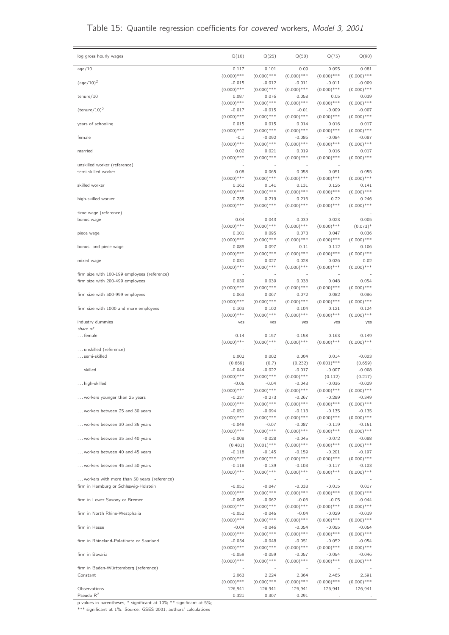### Table 15: Quantile regression coefficients for covered workers, Model 3, 2001

| log gross hourly wages                              | Q(10)                     | Q(25)                     | Q(50)                     | Q(75)                             | Q(90)                     |
|-----------------------------------------------------|---------------------------|---------------------------|---------------------------|-----------------------------------|---------------------------|
| age/10                                              | 0.117                     | 0.101                     | 0.09                      | 0.095                             | 0.081                     |
| $(age/10)^2$                                        | $(0.000)$ ***<br>$-0.015$ | $(0.000)$ ***<br>$-0.012$ | $(0.000)$ ***<br>$-0.011$ | $(0.000)$ ***<br>$-0.011$         | $(0.000)$ ***<br>$-0.009$ |
| tenure/10                                           | $(0.000)$ ***<br>0.087    | $(0.000)$ ***<br>0.076    | $(0.000)$ ***<br>0.058    | $(0.000)$ ***<br>0.05             | $(0.000)$ ***<br>0.039    |
|                                                     | $(0.000)$ ***             | $(0.000)$ ***             | $(0.000)$ ***             | $(0.000)$ ***                     | $(0.000)$ ***             |
| $(\text{tenure}/10)^2$                              | $-0.017$<br>$(0.000)$ *** | $-0.015$<br>$(0.000)$ *** | $-0.01$<br>$(0.000)$ ***  | $-0.009$<br>$(0.000)$ ***         | $-0.007$<br>$(0.000)$ *** |
| years of schooling                                  | 0.015                     | 0.015                     | 0.014                     | 0.016                             | 0.017                     |
| female                                              | $(0.000)$ ***<br>$-0.1$   | $(0.000)$ ***<br>$-0.092$ | $(0.000)$ ***<br>$-0.086$ | $(0.000)$ ***<br>$-0.084$         | $(0.000)$ ***<br>$-0.087$ |
| married                                             | $(0.000)$ ***<br>0.02     | $(0.000)$ ***<br>0.021    | $(0.000)$ ***<br>0.019    | $(0.000)$ ***<br>0.016            | $(0.000)$ ***<br>0.017    |
|                                                     | $(0.000)$ ***             | $(0.000)$ ***             | $(0.000)$ ***             | $(0.000)$ ***                     | $(0.000)$ ***             |
| unskilled worker (reference)<br>semi-skilled worker | 0.08                      | 0.065                     | 0.058                     | 0.051                             | 0.055                     |
|                                                     | $(0.000)$ ***             | $(0.000)$ ***             | $(0.000)$ ***             | $(0.000)$ ***                     | $(0.000)$ ***             |
| skilled worker                                      | 0.162<br>$(0.000)$ ***    | 0.141<br>$(0.000)$ ***    | 0.131<br>$(0.000)$ ***    | 0.126<br>$(0.000)$ ***            | 0.141<br>$(0.000)$ ***    |
| high-skilled worker                                 | 0.235                     | 0.219                     | 0.216                     | 0.22                              | 0.246                     |
| time wage (reference)                               | $(0.000)$ ***             | $(0.000)$ ***             | $(0.000)$ ***             | $(0.000)$ ***                     | $(0.000)$ ***             |
| bonus wage                                          | 0.04                      | 0.043<br>$(0.000)$ ***    | 0.039                     | 0.023                             | 0.005                     |
| piece wage                                          | $(0.000)$ ***<br>0.101    | 0.095                     | $(0.000)$ ***<br>0.073    | $(0.000)$ ***<br>0.047            | $(0.073)*$<br>0.036       |
|                                                     | $(0.000)$ ***             | $(0.000)$ ***             | $(0.000)$ ***             | $(0.000)$ ***                     | $(0.000)$ ***             |
| bonus- and piece wage                               | 0.089<br>$(0.000)$ ***    | 0.097<br>$(0.000)$ ***    | 0.11<br>$(0.000)$ ***     | 0.112<br>$(0.000)$ ***            | 0.106<br>$(0.000)$ ***    |
| mixed wage                                          | 0.031<br>$(0.000)$ ***    | 0.027<br>$(0.000)$ ***    | 0.028<br>$(0.000)$ ***    | 0.026<br>$(0.000)$ ***            | 0.02<br>$(0.000)$ ***     |
| firm size with 100-199 employees (reference)        |                           |                           |                           |                                   |                           |
| firm size with 200-499 employees                    | 0.039<br>$(0.000)$ ***    | 0.039<br>$(0.000)$ ***    | 0.038<br>$(0.000)$ ***    | 0.048<br>$(0.000)$ ***            | 0.054<br>$(0.000)$ ***    |
| firm size with 500-999 employees                    | 0.063                     | 0.067                     | 0.072                     | 0.082                             | 0.086                     |
| firm size with 1000 and more employees              | $(0.000)$ ***<br>0.103    | $(0.000)$ ***<br>0.102    | $(0.000)$ ***<br>0.104    | $(0.000)$ ***<br>0.121            | $(0.000)$ ***<br>0.124    |
|                                                     | $(0.000)$ ***             | $(0.000)$ ***             | $(0.000)$ ***             | $(0.000)$ ***                     | $(0.000)$ ***             |
| industry dummies<br>share of $\dots$                | yes                       | yes                       | yes                       | yes                               | yes                       |
| female                                              | $-0.14$                   | $-0.157$                  | $-0.158$                  | $-0.163$                          | $-0.149$                  |
| unskilled (reference)                               | $(0.000)$ ***             | $(0.000)$ ***             | $(0.000)$ ***             | $(0.000)$ ***                     | $(0.000)$ ***             |
| semi-skilled                                        | 0.002                     | 0.002                     | 0.004<br>(0.232)          | 0.014<br>$(0.001)$ ***            | $-0.003$<br>(0.659)       |
| skilled                                             | (0.669)<br>$-0.044$       | (0.7)<br>$-0.022$         | $-0.017$                  | $-0.007$                          | $-0.008$                  |
| high-skilled                                        | $(0.000)$ ***<br>$-0.05$  | $(0.000)$ ***<br>$-0.04$  | $(0.000)$ ***<br>$-0.043$ | (0.112)<br>$-0.036$               | (0.217)<br>$-0.029$       |
|                                                     | $(0.000)$ ***             | $(0.000)$ ***             | $(0.000)$ ***             | $(0.000)$ ***                     | $(0.000)$ ***             |
| workers younger than 25 years                       | $-0.237$<br>$(0.000)$ *** | $-0.273$<br>$(0.000)$ *** | $-0.267$<br>$(0.000)$ *** | $-0.289$<br>$(0.000)$ ***         | $-0.349$<br>$(0.000)$ *** |
| workers between 25 and 30 years                     | $-0.051$                  | $-0.094$                  | $-0.113$                  | $-0.135$                          | $-0.135$                  |
| workers between 30 and 35 years                     | $(0.000)$ ***<br>$-0.049$ | $(0.000)$ ***<br>$-0.07$  | $(0.000)$ ***<br>$-0.087$ | $(0.000)$ ***<br>$-0.119$         | $(0.000)$ ***<br>$-0.151$ |
|                                                     | $(0.000)$ ***             | $(0.000)$ ***             | $(0.000)$ ***             | $(0.000)$ ***                     | $(0.000)$ ***             |
| workers between 35 and 40 years                     | $-0.008$<br>(0.481)       | $-0.028$<br>$(0.001)$ *** | $-0.045$<br>$(0.000)$ *** | $-0.072$<br>$(0.000)$ ***         | $-0.088$<br>$(0.000)$ *** |
| workers between 40 and 45 years                     | $-0.118$<br>$(0.000)$ *** | $-0.145$<br>$(0.000)$ *** | $-0.159$<br>$(0.000)$ *** | $-0.201$<br>$(0.000)$ ***         | $-0.197$<br>$(0.000)$ *** |
| workers between 45 and 50 years                     | $-0.118$                  | $-0.139$                  | $-0.103$                  | $-0.117$                          | $-0.103$                  |
| workers with more than 50 years (reference)         | $(0.000)$ ***             | $(0.000)$ ***             | $(0.000)$ ***             | $(0.000)$ ***                     | $(0.000)$ ***             |
| firm in Hamburg or Schleswig-Holstein               | $-0.051$                  | $-0.047$                  | $-0.033$                  | $-0.015$                          | 0.017                     |
| firm in Lower Saxony or Bremen                      | $(0.000)$ ***<br>$-0.065$ | $(0.000)$ ***<br>$-0.062$ | $(0.000)$ ***<br>$-0.06$  | $(0.000)$ ***<br>$-0.05$          | $(0.000)$ ***<br>$-0.044$ |
|                                                     | $(0.000)$ ***             | $(0.000)$ ***             | $(0.000)$ ***             | $(0.000)$ ***                     | $(0.000)$ ***             |
| firm in North Rhine-Westphalia                      | $-0.052$<br>$(0.000)$ *** | $-0.045$<br>$(0.000)$ *** | $-0.04$<br>$(0.000)$ ***  | $-0.029$<br>$(0.000)$ ***         | $-0.019$<br>$(0.000)$ *** |
| firm in Hesse                                       | $-0.04$                   | $-0.046$                  | $-0.054$                  | $-0.055$                          | $-0.054$                  |
| firm in Rhineland-Palatinate or Saarland            | $(0.000)$ ***<br>$-0.054$ | $(0.000)$ ***<br>$-0.048$ | $(0.000)$ ***<br>$-0.051$ | $(0.000)$ ***<br>$-0.052$         | $(0.000)$ ***<br>$-0.054$ |
|                                                     | $(0.000)$ ***             | $(0.000)$ ***             | $(0.000)$ ***             | $(0.000)$ ***                     | $(0.000)$ ***             |
| firm in Bavaria                                     | $-0.059$<br>$(0.000)$ *** | $-0.059$<br>$(0.000)$ *** | $-0.057$<br>$(0.000)$ *** | $-0.054$<br>$(0.000)$ ***         | $-0.046$<br>$(0.000)$ *** |
| firm in Baden-Württemberg (reference)<br>Constant   | 2.063                     | 2.224                     | $\overline{a}$<br>2.364   | $\overline{\phantom{a}}$<br>2.465 | 2.591                     |
|                                                     | $(0.000)$ ***             | $(0.000)$ ***             | $(0.000)$ ***             | $(0.000)$ ***                     | $(0.000)$ ***             |
| Observations<br>Pseudo $R^2$                        | 126,941<br>0.321          | 126,941<br>0.307          | 126,941<br>0.291          | 126,941                           | 126,941                   |

p values in parentheses, \* significant at 10% \*\* significant at 5%;

\*\*\* significant at 1%. Source: GSES 2001; authors' calculations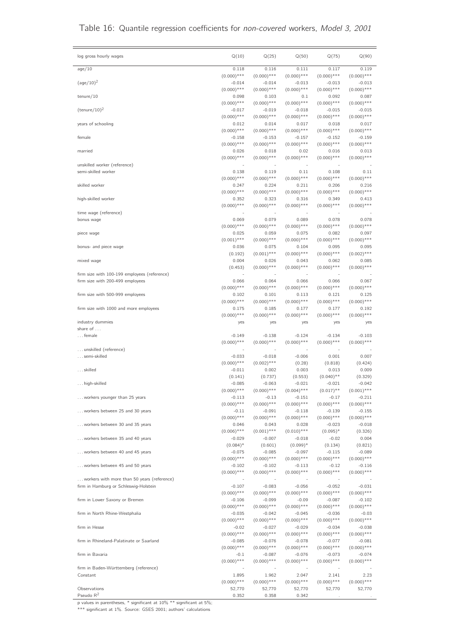### <span id="page-31-0"></span>Table 16: Quantile regression coefficients for non-covered workers, Model 3, 2001

| log gross hourly wages                                                           | Q(10)                     | Q(25)                     | Q(50)                           | Q(75)                     | Q(90)                     |
|----------------------------------------------------------------------------------|---------------------------|---------------------------|---------------------------------|---------------------------|---------------------------|
| age/10                                                                           | 0.118<br>$(0.000)$ ***    | 0.116<br>$(0.000)$ ***    | 0.111<br>$(0.000)$ ***          | 0.117<br>$(0.000)$ ***    | 0.119<br>$(0.000)$ ***    |
| $(age/10)^2$                                                                     | $-0.014$                  | $-0.014$                  | $-0.013$                        | $-0.013$                  | $-0.013$                  |
| $t$ enure/10                                                                     | $(0.000)$ ***<br>0.098    | $(0.000)$ ***<br>0.103    | $(0.000)$ ***<br>0.1            | $(0.000)$ ***<br>0.092    | $(0.000)$ ***<br>0.087    |
| $(\text{tenure}/10)^2$                                                           | $(0.000)$ ***<br>$-0.017$ | $(0.000)$ ***<br>$-0.019$ | $(0.000)$ ***<br>$-0.018$       | $(0.000)$ ***<br>$-0.015$ | $(0.000)$ ***<br>$-0.015$ |
| years of schooling                                                               | $(0.000)$ ***<br>0.012    | $(0.000)$ ***<br>0.014    | $(0.000)$ ***<br>0.017          | $(0.000)$ ***<br>0.018    | $(0.000)$ ***<br>0.017    |
|                                                                                  | $(0.000)$ ***             | $(0.000)$ ***             | $(0.000)$ ***                   | $(0.000)$ ***             | $(0.000)$ ***             |
| female                                                                           | $-0.158$<br>$(0.000)$ *** | $-0.153$<br>$(0.000)$ *** | $-0.157$<br>$(0.000)$ ***       | $-0.152$<br>$(0.000)$ *** | $-0.159$<br>$(0.000)$ *** |
| married                                                                          | 0.026<br>$(0.000)$ ***    | 0.018<br>$(0.000)$ ***    | 0.02<br>$(0.000)$ ***           | 0.016<br>$(0.000)$ ***    | 0.013<br>$(0.000)$ ***    |
| unskilled worker (reference)<br>semi-skilled worker                              | 0.138                     | 0.119                     | 0.11                            | 0.108                     | 0.11                      |
|                                                                                  | $(0.000)$ ***             | $(0.000)$ ***             | $(0.000)$ ***                   | $(0.000)$ ***             | $(0.000)$ ***             |
| skilled worker                                                                   | 0.247<br>$(0.000)$ ***    | 0.224<br>$(0.000)$ ***    | 0.211<br>$(0.000)$ ***          | 0.206<br>$(0.000)$ ***    | 0.216<br>$(0.000)$ ***    |
| high-skilled worker                                                              | 0.352                     | 0.323                     | 0.316                           | 0.349                     | 0.413                     |
| time wage (reference)                                                            | $(0.000)$ ***             | $(0.000)$ ***             | $(0.000)$ ***<br>$\overline{a}$ | $(0.000)$ ***             | $(0.000)$ ***             |
| bonus wage                                                                       | 0.069                     | 0.079                     | 0.089                           | 0.078                     | 0.078                     |
| piece wage                                                                       | $(0.000)$ ***<br>0.025    | $(0.000)$ ***<br>0.059    | $(0.000)$ ***<br>0.075          | $(0.000)$ ***<br>0.082    | $(0.000)$ ***<br>0.097    |
|                                                                                  | $(0.001)$ ***             | $(0.000)$ ***             | $(0.000)$ ***                   | $(0.000)$ ***             | $(0.000)$ ***             |
| bonus- and piece wage                                                            | 0.036                     | 0.075                     | 0.104                           | 0.095                     | 0.095                     |
| mixed wage                                                                       | (0.192)<br>0.004          | $(0.001)$ ***<br>0.026    | $(0.000)$ ***<br>0.043          | $(0.000)$ ***<br>0.062    | $(0.002)$ ***<br>0.085    |
|                                                                                  | (0.453)                   | $(0.000)$ ***             | $(0.000)$ ***                   | $(0.000)$ ***             | $(0.000)$ ***             |
| firm size with 100-199 employees (reference)<br>firm size with 200-499 employees | ٠<br>0.066                | 0.064                     | 0.066                           | 0.066                     | 0.067                     |
|                                                                                  | $(0.000)$ ***             | $(0.000)$ ***             | $(0.000)$ ***                   | $(0.000)$ ***             | $(0.000)$ ***             |
| firm size with 500-999 employees                                                 | 0.102<br>$(0.000)$ ***    | 0.101<br>$(0.000)$ ***    | 0.113<br>$(0.000)$ ***          | 0.121<br>$(0.000)$ ***    | 0.125<br>$(0.000)$ ***    |
| firm size with 1000 and more employees                                           | 0.175                     | 0.185                     | 0.177                           | 0.177                     | 0.192                     |
| industry dummies                                                                 | $(0.000)$ ***<br>yes      | $(0.000)$ ***<br>yes      | $(0.000)$ ***<br>yes            | $(0.000)$ ***<br>yes      | $(0.000)$ ***<br>yes      |
| share of<br>female                                                               | $-0.149$                  | $-0.138$                  | $-0.124$                        | $-0.134$                  | $-0.103$                  |
|                                                                                  | $(0.000)$ ***             | $(0.000)$ ***             | $(0.000)$ ***                   | $(0.000)$ ***             | $(0.000)$ ***             |
| unskilled (reference)<br>semi-skilled                                            | $-0.033$                  | $-0.018$                  | $-0.006$                        | 0.001                     | 0.007                     |
|                                                                                  | $(0.000)$ ***             | $(0.002)$ ***             | (0.28)                          | (0.818)                   | (0.424)                   |
| skilled                                                                          | $-0.011$<br>(0.141)       | 0.002                     | 0.003                           | 0.013<br>$(0.040)$ **     | 0.009<br>(0.329)          |
| $\dots$ high-skilled                                                             | $-0.085$                  | (0.737)<br>$-0.063$       | (0.553)<br>$-0.021$             | $-0.021$                  | $-0.042$                  |
|                                                                                  | $(0.000)$ ***             | $(0.000)$ ***             | $(0.004)$ ***                   | $(0.017)$ **              | $(0.001)$ ***             |
| workers younger than 25 years                                                    | $-0.113$<br>$(0.000)$ *** | $-0.13$<br>$(0.000)$ ***  | $-0.151$<br>$(0.000)$ ***       | $-0.17$<br>$(0.000)$ ***  | $-0.211$<br>$(0.000)$ *** |
| workers between 25 and 30 years                                                  | $-0.11$                   | $-0.091$                  | $-0.118$                        | $-0.139$                  | $-0.155$                  |
| workers between 30 and 35 years                                                  | $(0.000)$ ***<br>0.046    | $(0.000)$ ***<br>0.043    | $(0.000)$ ***<br>0.028          | $(0.000)$ ***<br>$-0.023$ | $(0.000)$ ***<br>$-0.018$ |
|                                                                                  | $(0.006)$ ***             | $(0.001)$ ***             | $(0.010)$ ***                   | $(0.095)^*$               | (0.326)                   |
| workers between 35 and 40 years                                                  | $-0.029$                  | $-0.007$                  | $-0.018$                        | $-0.02$                   | 0.004                     |
| workers between 40 and 45 years                                                  | $(0.084)^*$<br>$-0.075$   | (0.601)<br>$-0.085$       | $(0.099)*$<br>$-0.097$          | (0.134)<br>$-0.115$       | (0.821)<br>$-0.089$       |
|                                                                                  | $(0.000)$ ***             | $(0.000)$ ***             | $(0.000)$ ***                   | $(0.000)$ ***             | $(0.000)$ ***             |
| workers between 45 and 50 years                                                  | $-0.102$<br>$(0.000)$ *** | $-0.102$<br>$(0.000)$ *** | $-0.113$<br>$(0.000)$ ***       | $-0.12$<br>$(0.000)$ ***  | $-0.116$<br>$(0.000)$ *** |
| workers with more than 50 years (reference)                                      |                           | $\sim$                    |                                 | $\overline{\phantom{a}}$  |                           |
| firm in Hamburg or Schleswig-Holstein                                            | $-0.107$<br>$(0.000)$ *** | $-0.083$<br>$(0.000)$ *** | $-0.056$<br>$(0.000)$ ***       | $-0.052$<br>$(0.000)$ *** | $-0.031$<br>$(0.000)$ *** |
| firm in Lower Saxony or Bremen                                                   | $-0.106$                  | $-0.099$                  | $-0.09$                         | $-0.087$                  | $-0.102$                  |
| firm in North Rhine-Westphalia                                                   | $(0.000)$ ***<br>$-0.035$ | $(0.000)$ ***<br>$-0.042$ | $(0.000)$ ***<br>$-0.045$       | $(0.000)$ ***<br>$-0.036$ | $(0.000)$ ***<br>$-0.03$  |
|                                                                                  | $(0.000)$ ***             | $(0.000)$ ***             | $(0.000)$ ***                   | $(0.000)$ ***             | $(0.000)$ ***             |
| firm in Hesse                                                                    | $-0.02$                   | $-0.027$                  | $-0.029$                        | $-0.034$                  | $-0.038$                  |
| firm in Rhineland-Palatinate or Saarland                                         | $(0.000)$ ***<br>$-0.085$ | $(0.000)$ ***<br>$-0.076$ | $(0.000)$ ***<br>$-0.078$       | $(0.000)$ ***<br>$-0.077$ | $(0.000)$ ***<br>$-0.081$ |
|                                                                                  | $(0.000)$ ***             | $(0.000)$ ***             | $(0.000)$ ***                   | $(0.000)$ ***             | $(0.000)$ ***             |
| firm in Bavaria                                                                  | $-0.1$<br>$(0.000)$ ***   | $-0.087$<br>$(0.000)$ *** | $-0.076$<br>$(0.000)$ ***       | $-0.073$<br>$(0.000)$ *** | $-0.074$<br>$(0.000)$ *** |
| firm in Baden-Württemberg (reference)                                            | $\overline{\phantom{a}}$  |                           | $\overline{\phantom{a}}$        |                           |                           |
| Constant                                                                         | 1.895<br>$(0.000)$ ***    | 1.962<br>$(0.000)$ ***    | 2.047<br>$(0.000)$ ***          | 2.141<br>$(0.000)$ ***    | 2.23<br>$(0.000)$ ***     |
| Observations                                                                     | 52,770                    | 52,770                    | 52,770                          | 52,770                    | 52,770                    |
| Pseudo $R^2$                                                                     | 0.352                     | 0.358                     | 0.342                           |                           |                           |

p values in parentheses, \* significant at 10% \*\* significant at 5%;

\*\*\* significant at 1%. Source: GSES 2001; authors' calculations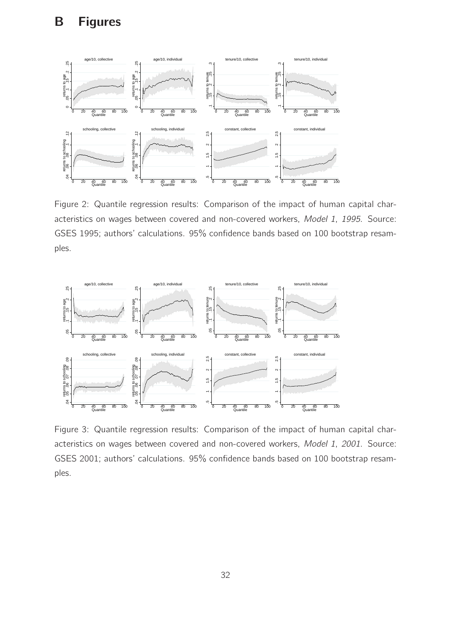

<span id="page-32-0"></span>Figure 2: Quantile regression results: Comparison of the impact of human capital characteristics on wages between covered and non-covered workers, Model 1, 1995. Source: GSES 1995; authors' calculations. 95% confidence bands based on 100 bootstrap resamples.



Figure 3: Quantile regression results: Comparison of the impact of human capital characteristics on wages between covered and non-covered workers, Model 1, 2001. Source: GSES 2001; authors' calculations. 95% confidence bands based on 100 bootstrap resamples.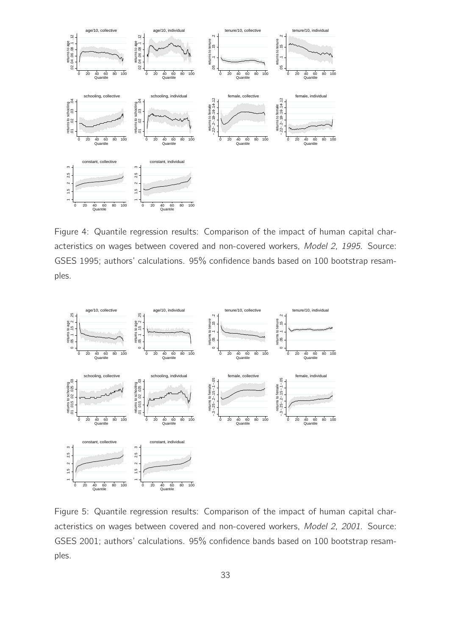

Figure 4: Quantile regression results: Comparison of the impact of human capital characteristics on wages between covered and non-covered workers, Model 2, 1995. Source: GSES 1995; authors' calculations. 95% confidence bands based on 100 bootstrap resamples.



Figure 5: Quantile regression results: Comparison of the impact of human capital characteristics on wages between covered and non-covered workers, Model 2, 2001. Source: GSES 2001; authors' calculations. 95% confidence bands based on 100 bootstrap resamples.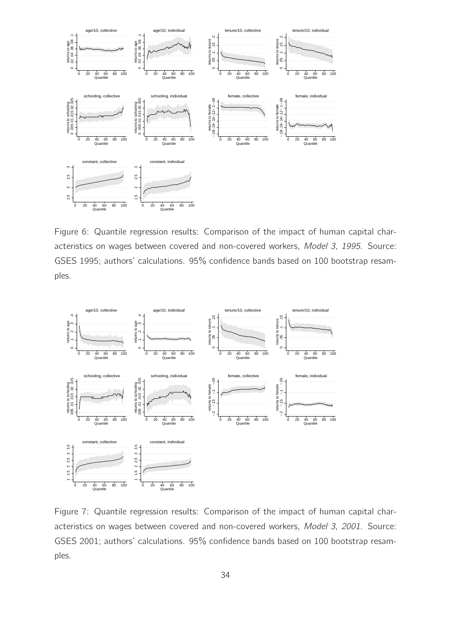

Figure 6: Quantile regression results: Comparison of the impact of human capital characteristics on wages between covered and non-covered workers, Model 3, 1995. Source: GSES 1995; authors' calculations. 95% confidence bands based on 100 bootstrap resamples.



<span id="page-34-0"></span>Figure 7: Quantile regression results: Comparison of the impact of human capital characteristics on wages between covered and non-covered workers, Model 3, 2001. Source: GSES 2001; authors' calculations. 95% confidence bands based on 100 bootstrap resamples.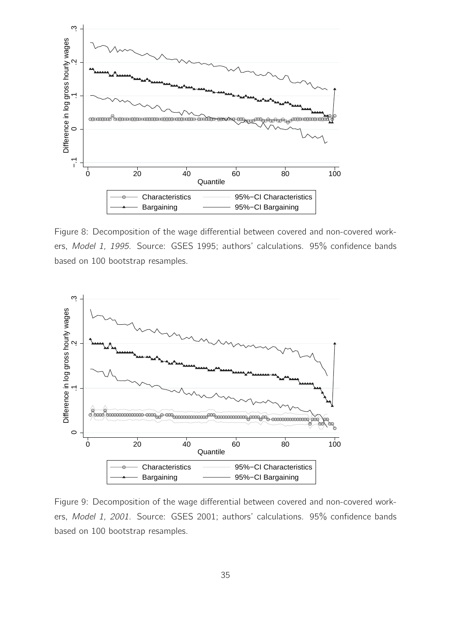

<span id="page-35-0"></span>Figure 8: Decomposition of the wage differential between covered and non-covered workers, Model 1, 1995. Source: GSES 1995; authors' calculations. 95% confidence bands based on 100 bootstrap resamples.



Figure 9: Decomposition of the wage differential between covered and non-covered workers, Model 1, 2001. Source: GSES 2001; authors' calculations. 95% confidence bands based on 100 bootstrap resamples.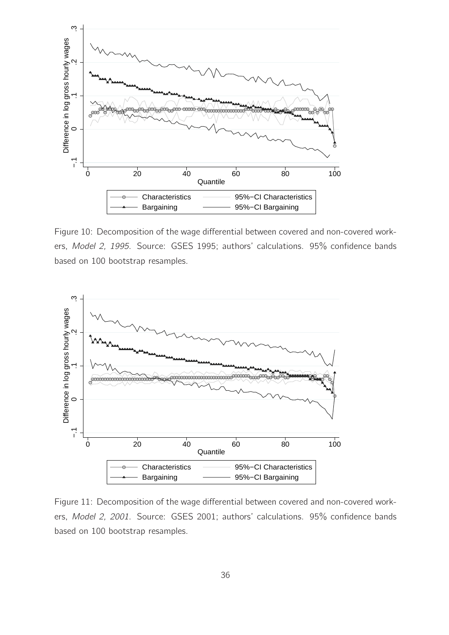

Figure 10: Decomposition of the wage differential between covered and non-covered workers, Model 2, 1995. Source: GSES 1995; authors' calculations. 95% confidence bands based on 100 bootstrap resamples.



Figure 11: Decomposition of the wage differential between covered and non-covered workers, Model 2, 2001. Source: GSES 2001; authors' calculations. 95% confidence bands based on 100 bootstrap resamples.